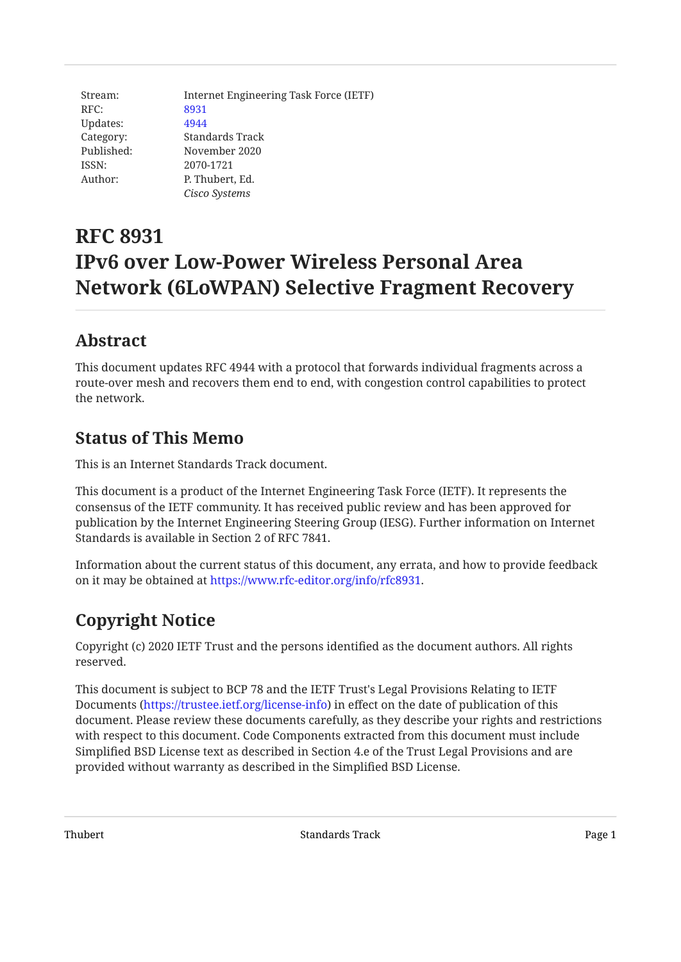Stream: Internet Engineering Task Force (IETF) RFC: [8931](https://www.rfc-editor.org/rfc/rfc8931) Updates: [4944](https://www.rfc-editor.org/rfc/rfc4944) Category: Standards Track Published: November 2020 ISSN: 2070-1721 Author: P. Thubert, Ed. *Cisco Systems*

# **RFC 8931 IPv6 over Low-Power Wireless Personal Area Network (6LoWPAN) Selective Fragment Recovery**

## <span id="page-0-0"></span>**[Abstract](#page-0-0)**

This document updates RFC 4944 with a protocol that forwards individual fragments across a route-over mesh and recovers them end to end, with congestion control capabilities to protect the network.

## <span id="page-0-1"></span>**[Status of This Memo](#page-0-1)**

This is an Internet Standards Track document.

This document is a product of the Internet Engineering Task Force (IETF). It represents the consensus of the IETF community. It has received public review and has been approved for publication by the Internet Engineering Steering Group (IESG). Further information on Internet Standards is available in Section 2 of RFC 7841.

Information about the current status of this document, any errata, and how to provide feedback on it may be obtained at <https://www.rfc-editor.org/info/rfc8931>.

## <span id="page-0-2"></span>**[Copyright Notice](#page-0-2)**

Copyright (c) 2020 IETF Trust and the persons identified as the document authors. All rights reserved.

This document is subject to BCP 78 and the IETF Trust's Legal Provisions Relating to IETF Documents (<https://trustee.ietf.org/license-info>) in effect on the date of publication of this document. Please review these documents carefully, as they describe your rights and restrictions with respect to this document. Code Components extracted from this document must include Simplified BSD License text as described in Section 4.e of the Trust Legal Provisions and are provided without warranty as described in the Simplified BSD License.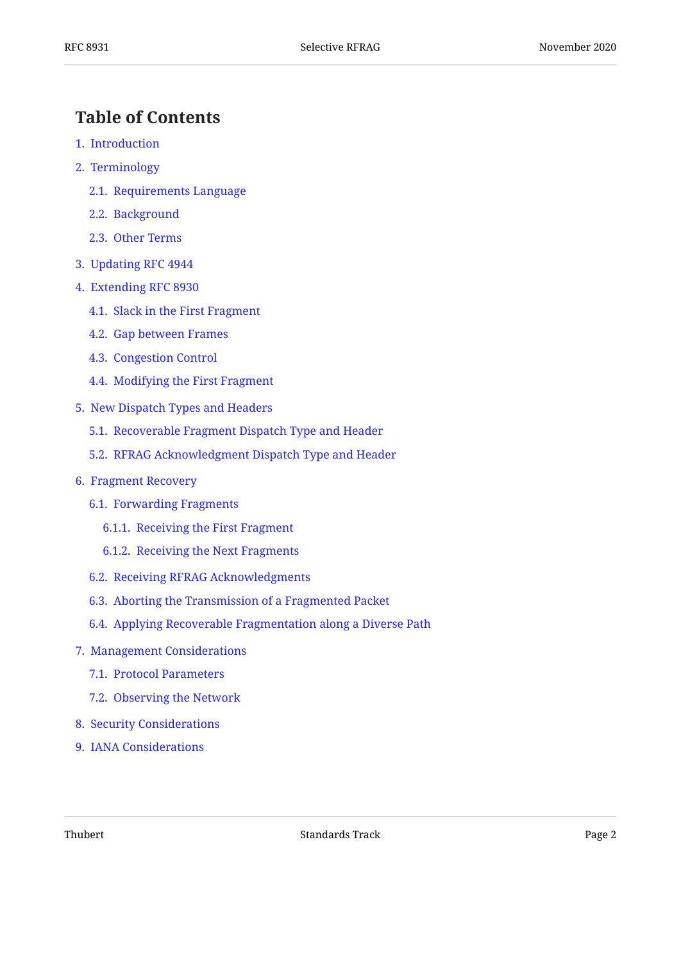## <span id="page-1-0"></span>**[Table of Contents](#page-1-0)**

- [1.](#page-2-0) [Introduction](#page-2-0)
- [2.](#page-3-0) [Terminology](#page-3-0)
	- [2.1.](#page-3-1) [Requirements Language](#page-3-1)
	- [2.2.](#page-4-0) [Background](#page-4-0)
	- [2.3.](#page-4-1) [Other Terms](#page-4-1)
- [3.](#page-5-0) [Updating RFC 4944](#page-5-0)
- [4.](#page-5-1) [Extending RFC 8930](#page-5-1)
	- [4.1.](#page-5-2) [Slack in the First Fragment](#page-5-2)
	- [4.2.](#page-6-0) [Gap between Frames](#page-6-0)
	- [4.3.](#page-6-1) [Congestion Control](#page-6-1)
	- [4.4.](#page-7-0) [Modifying the First Fragment](#page-7-0)
- [5.](#page-7-1) [New Dispatch Types and Headers](#page-7-1)
	- [5.1.](#page-8-0) [Recoverable Fragment Dispatch Type and Header](#page-8-0)
	- [5.2.](#page-10-0) [RFRAG Acknowledgment Dispatch Type and Header](#page-10-0)
- [6.](#page-11-0) [Fragment Recovery](#page-11-0)
	- [6.1.](#page-13-0) [Forwarding Fragments](#page-13-0)
		- [6.1.1.](#page-13-1) [Receiving the First Fragment](#page-13-1)
		- [6.1.2.](#page-14-0) [Receiving the Next Fragments](#page-14-0)
	- [6.2.](#page-14-1) [Receiving RFRAG Acknowledgments](#page-14-1)
	- [6.3.](#page-15-0) [Aborting the Transmission of a Fragmented Packet](#page-15-0)
	- [6.4.](#page-15-1) [Applying Recoverable Fragmentation along a Diverse Path](#page-15-1)
- [7.](#page-16-0) [Management Considerations](#page-16-0)
	- [7.1.](#page-16-1) [Protocol Parameters](#page-16-1)
	- [7.2.](#page-18-0) [Observing the Network](#page-18-0)
- [8.](#page-19-0) [Security Considerations](#page-19-0)
- [9.](#page-19-1) [IANA Considerations](#page-19-1)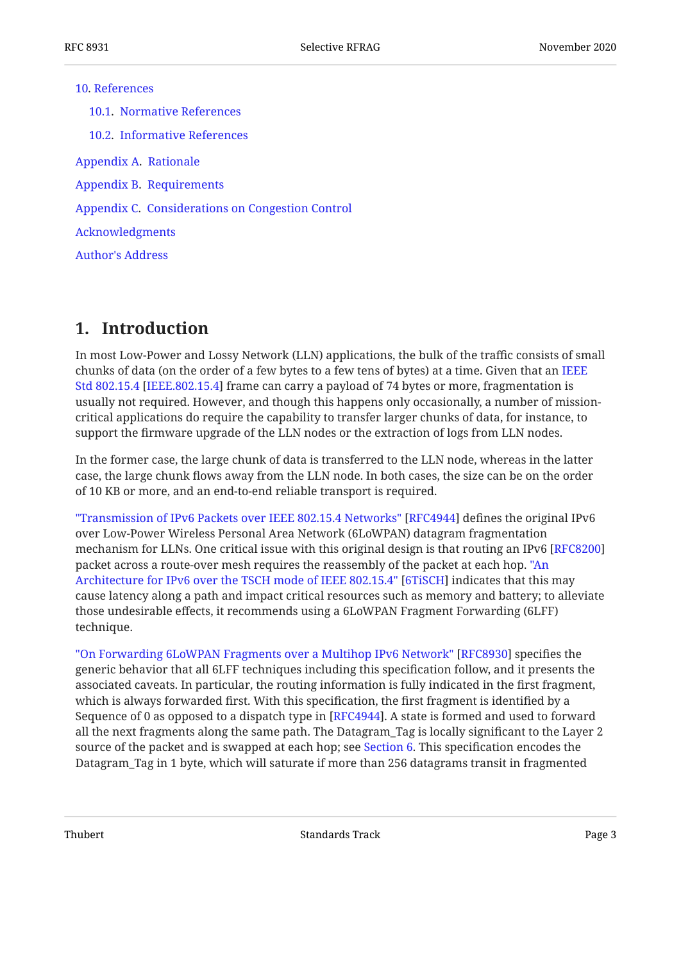#### [10](#page-20-0). [References](#page-20-0)

[10.1](#page-20-1). [Normative References](#page-20-1) [10.2](#page-21-0). [Informative References](#page-21-0) [Appendix A.](#page-23-0) [Rationale](#page-23-0) [Appendix B](#page-24-0). [Requirements](#page-24-0) [Appendix C.](#page-24-1) [Considerations on Congestion Control](#page-24-1) [Acknowledgments](#page-27-0) [Author's Address](#page-27-1)

## <span id="page-2-0"></span>**[1. Introduction](#page-2-0)**

In most Low-Power and Lossy Network (LLN) applications, the bulk of the traffic consists of small chunks of data (on the order of a few bytes to a few tens of bytes) at a time. Given that an [IEEE](#page-21-1) [Std 802.15.4](#page-21-1) [\[IEEE.802.15.4](#page-21-1)] frame can carry a payload of 74 bytes or more, fragmentation is usually not required. However, and though this happens only occasionally, a number of missioncritical applications do require the capability to transfer larger chunks of data, for instance, to support the firmware upgrade of the LLN nodes or the extraction of logs from LLN nodes.

In the former case, the large chunk of data is transferred to the LLN node, whereas in the latter case, the large chunk flows away from the LLN node. In both cases, the size can be on the order of 10 KB or more, and an end-to-end reliable transport is required.

["Transmission of IPv6 Packets over IEEE 802.15.4 Networks"](#page-20-2) [\[RFC4944](#page-20-2)] defines the original IPv6 over Low-Power Wireless Personal Area Network (6LoWPAN) datagram fragmentation mechanism for LLNs. One critical issue with this original design is that routing an IPv6 [\[RFC8200](#page-21-2)] packet across a route-over mesh requires the reassembly of the packet at each hop. ["An](#page-21-3) [Architecture for IPv6 over the TSCH mode of IEEE 802.15.4"](#page-21-3) [\[6TiSCH](#page-21-3)] indicates that this may cause latency along a path and impact critical resources such as memory and battery; to alleviate those undesirable effects, it recommends using a 6LoWPAN Fragment Forwarding (6LFF) technique.

["On Forwarding 6LoWPAN Fragments over a Multihop IPv6 Network" \[RFC8930\]](#page-21-4) specifies the generic behavior that all 6LFF techniques including this specification follow, and it presents the associated caveats. In particular, the routing information is fully indicated in the first fragment, which is always forwarded first. With this specification, the first fragment is identified by a Sequence of 0 as opposed to a dispatch type in [[RFC4944\]](#page-20-2). A state is formed and used to forward all the next fragments along the same path. The Datagram\_Tag is locally significant to the Layer 2 source of the packet and is swapped at each hop; see [Section 6](#page-11-0). This specification encodes the Datagram\_Tag in 1 byte, which will saturate if more than 256 datagrams transit in fragmented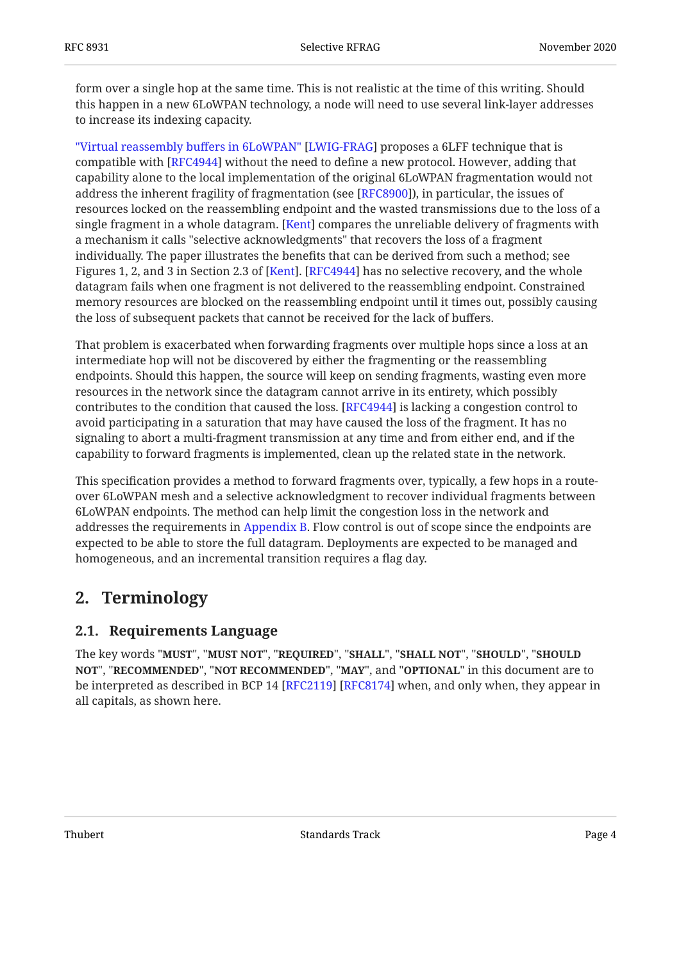form over a single hop at the same time. This is not realistic at the time of this writing. Should this happen in a new 6LoWPAN technology, a node will need to use several link-layer addresses to increase its indexing capacity.

["Virtual reassembly bu](#page-21-5)ffers in 6LoWPAN" [[LWIG-FRAG\]](#page-21-5) proposes a 6LFF technique that is compatible with [RFC4944] without the need to define a new protocol. However, adding that capability alone to the local implementation of the original 6LoWPAN fragmentation would not address the inherent fragility of fragmentation (see [RFC8900]), in particular, the issues of resources locked on the reassembling endpoint and the wasted transmissions due to the loss of a single fragment in a whole datagram. [Kent] compares the unreliable delivery of fragments with a mechanism it calls "selective acknowledgments" that recovers the loss of a fragment individually. The paper illustrates the benefits that can be derived from such a method; see Figures 1, 2, and 3 in Section 2.3 of [Kent]. [RFC4944] has no selective recovery, and the whole datagram fails when one fragment is not delivered to the reassembling endpoint. Constrained memory resources are blocked on the reassembling endpoint until it times out, possibly causing the loss of subsequent packets that cannot be received for the lack of buffers.

That problem is exacerbated when forwarding fragments over multiple hops since a loss at an intermediate hop will not be discovered by either the fragmenting or the reassembling endpoints. Should this happen, the source will keep on sending fragments, wasting even more resources in the network since the datagram cannot arrive in its entirety, which possibly contributes to the condition that caused the loss. [RFC4944] is lacking a congestion control to avoid participating in a saturation that may have caused the loss of the fragment. It has no signaling to abort a multi-fragment transmission at any time and from either end, and if the capability to forward fragments is implemented, clean up the related state in the network.

This specification provides a method to forward fragments over, typically, a few hops in a routeover 6LoWPAN mesh and a selective acknowledgment to recover individual fragments between 6LoWPAN endpoints. The method can help limit the congestion loss in the network and addresses the requirements in [Appendix B](#page-24-0). Flow control is out of scope since the endpoints are expected to be able to store the full datagram. Deployments are expected to be managed and homogeneous, and an incremental transition requires a flag day.

## <span id="page-3-1"></span><span id="page-3-0"></span>**[2. Terminology](#page-3-0)**

### **[2.1. Requirements Language](#page-3-1)**

The key words "MUST", "MUST NOT", "REQUIRED", "SHALL", "SHALL NOT", "SHOULD", "SHOULD <code>NOT",</code> "<code>RECOMMENDED", "NOT RECOMMENDED", "MAY", and "OPTIONAL" in this document are to</code> be interpreted as described in BCP 14 [RFC2119] [RFC8174] when, and only when, they appear in all capitals, as shown here.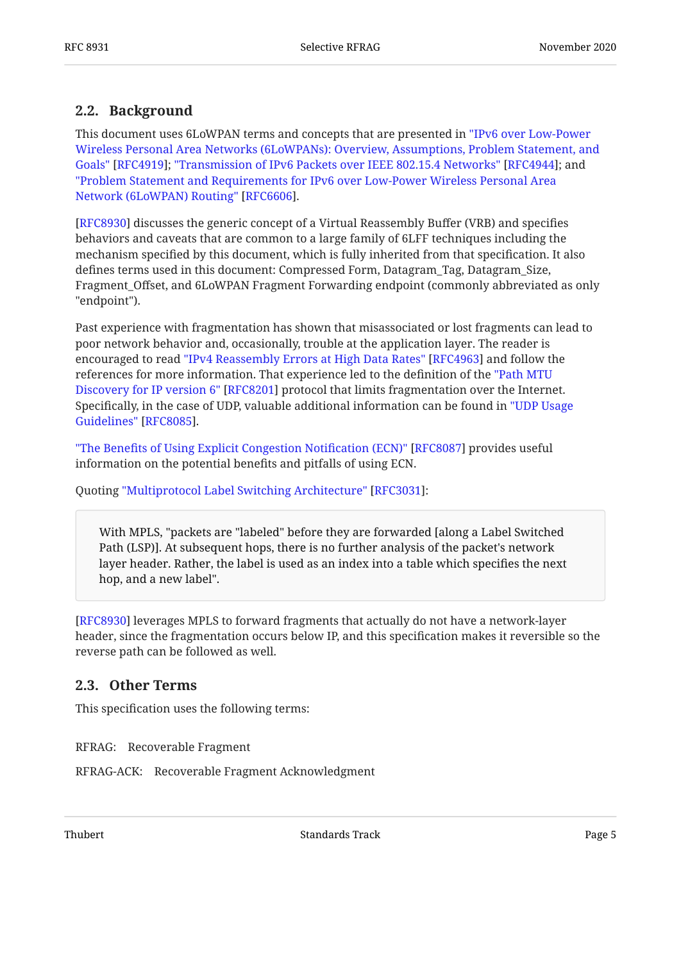#### <span id="page-4-0"></span>**[2.2. Background](#page-4-0)**

This document uses 6LoWPAN terms and concepts that are presented in ["IPv6 over Low-Power](#page-20-4) Goals"[\[RFC4919](#page-20-4)]; "Transmission of IPv6 Packets over IEEE 802.15.4 Networks" [RFC4944]; and . [Network \(6LoWPAN\) Routing"](#page-20-5) [[RFC6606\]](#page-20-5) [Wireless Personal Area Networks \(6LoWPANs\): Overview, Assumptions, Problem Statement, and](#page-20-4) ["Problem Statement and Requirements for IPv6 over Low-Power Wireless Personal Area](#page-20-5)

[[RFC8930\]](#page-21-4) discusses the generic concept of a Virtual Reassembly Buffer (VRB) and specifies behaviors and caveats that are common to a large family of 6LFF techniques including the mechanism specified by this document, which is fully inherited from that specification. It also defines terms used in this document: Compressed Form, Datagram\_Tag, Datagram\_Size, Fragment\_Offset, and 6LoWPAN Fragment Forwarding endpoint (commonly abbreviated as only "endpoint").

Past experience with fragmentation has shown that misassociated or lost fragments can lead to poor network behavior and, occasionally, trouble at the application layer. The reader is encouraged to read "IPv4 Reassembly Errors at High Data Rates" [RFC4963] and follow the references for more information. That experience led to the definition of the ["Path MTU](#page-22-2) [Discovery for IP version 6" \[RFC8201\]](#page-22-2) protocol that limits fragmentation over the Internet. Specifically, in the case of UDP, valuable additional information can be found in ["UDP Usage](#page-22-3) . [Guidelines"](#page-22-3) [[RFC8085\]](#page-22-3)

"The Benefi[ts of Using Explicit Congestion Noti](#page-22-4)fication (ECN)" [[RFC8087\]](#page-22-4) provides useful information on the potential benefits and pitfalls of using ECN.

Quoting "Multiprotocol Label Switching Architecture" [RFC3031]:

With MPLS, "packets are "labeled" before they are forwarded [along a Label Switched Path (LSP)]. At subsequent hops, there is no further analysis of the packet's network layer header. Rather, the label is used as an index into a table which specifies the next hop, and a new label".

[[RFC8930\]](#page-21-4) leverages MPLS to forward fragments that actually do not have a network-layer header, since the fragmentation occurs below IP, and this specification makes it reversible so the reverse path can be followed as well.

#### <span id="page-4-1"></span>**[2.3. Other Terms](#page-4-1)**

This specification uses the following terms:

RFRAG: Recoverable Fragment

RFRAG-ACK: Recoverable Fragment Acknowledgment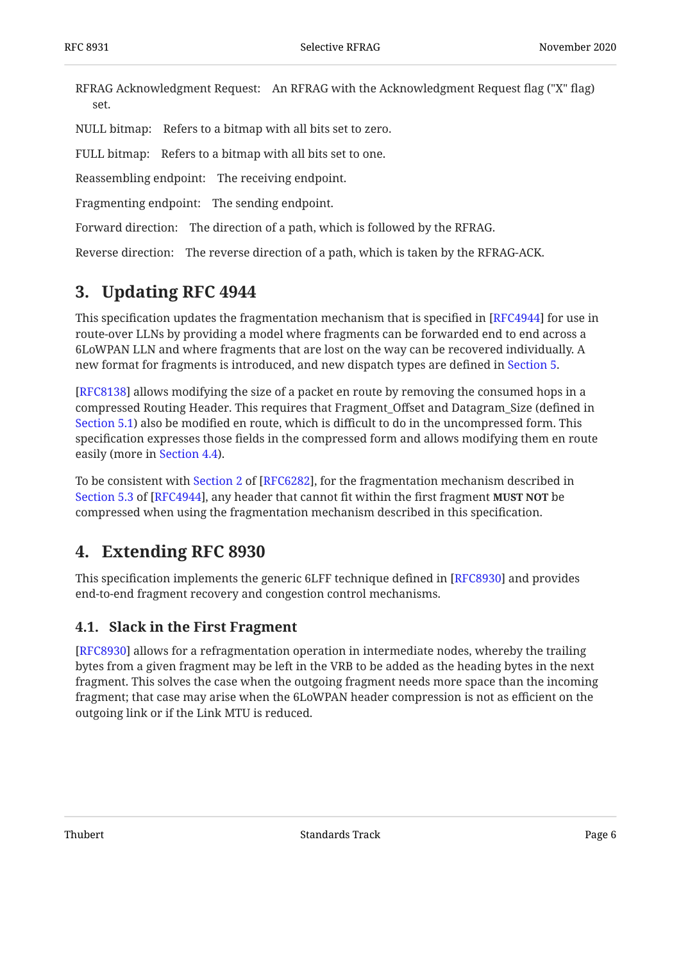RFRAG Acknowledgment Request: An RFRAG with the Acknowledgment Request flag ("X" flag) set.

NULL bitmap: Refers to a bitmap with all bits set to zero.

FULL bitmap: Refers to a bitmap with all bits set to one.

Reassembling endpoint: The receiving endpoint.

Fragmenting endpoint: The sending endpoint.

Forward direction: The direction of a path, which is followed by the RFRAG.

<span id="page-5-0"></span>Reverse direction: The reverse direction of a path, which is taken by the RFRAG-ACK.

### **[3. Updating RFC 4944](#page-5-0)**

This specification updates the fragmentation mechanism that is specified in [\[RFC4944](#page-20-2)] for use in route-over LLNs by providing a model where fragments can be forwarded end to end across a 6LoWPAN LLN and where fragments that are lost on the way can be recovered individually. A new format for fragments is introduced, and new dispatch types are defined in [Section 5.](#page-7-1)

[[RFC8138\]](#page-21-9) allows modifying the size of a packet en route by removing the consumed hops in a compressed Routing Header. This requires that Fragment\_Offset and Datagram\_Size (defined in [Section 5.1\)](#page-8-0) also be modified en route, which is difficult to do in the uncompressed form. This specification expresses those fields in the compressed form and allows modifying them en route easily (more in [Section 4.4\)](#page-7-0).

Tobe consistent with Section 2 of [RFC6282], for the fragmentation mechanism described in [Section 5.3](https://www.rfc-editor.org/rfc/rfc4944#section-5.3) of [\[RFC4944](#page-20-2)], any header that cannot fit within the first fragment **MUST NOT** be compressed when using the fragmentation mechanism described in this specification.

### <span id="page-5-1"></span>**[4. Extending RFC 8930](#page-5-1)**

This specification implements the generic 6LFF technique defined in [RFC8930] and provides end-to-end fragment recovery and congestion control mechanisms.

### <span id="page-5-2"></span>**[4.1. Slack in the First Fragment](#page-5-2)**

[[RFC8930\]](#page-21-4) allows for a refragmentation operation in intermediate nodes, whereby the trailing bytes from a given fragment may be left in the VRB to be added as the heading bytes in the next fragment. This solves the case when the outgoing fragment needs more space than the incoming fragment; that case may arise when the 6LoWPAN header compression is not as efficient on the outgoing link or if the Link MTU is reduced.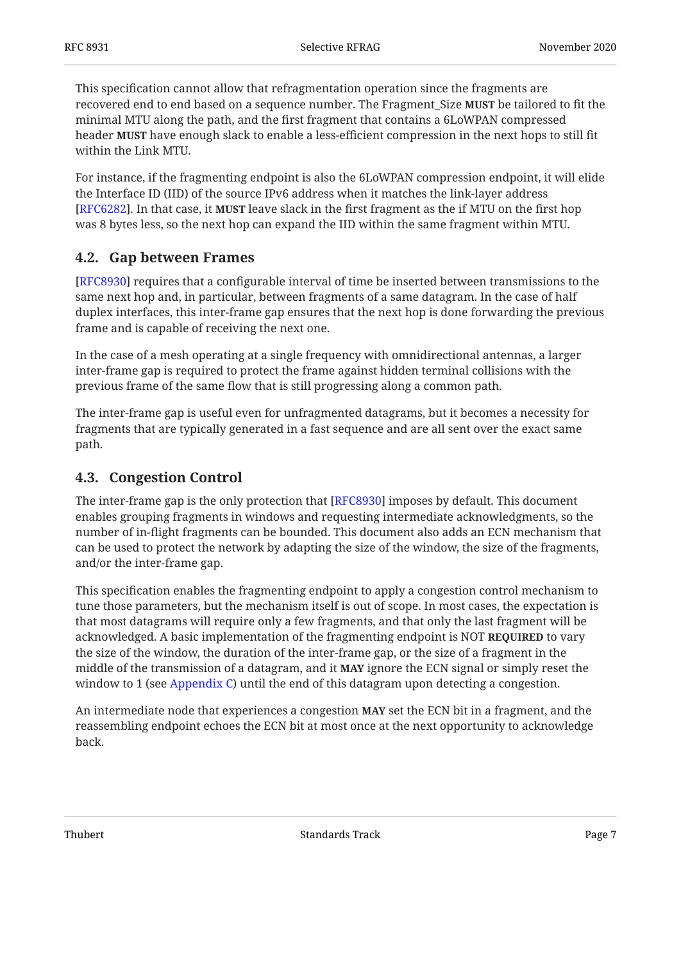This specification cannot allow that refragmentation operation since the fragments are recovered end to end based on a sequence number. The Fragment\_Size **MUST** be tailored to fit the minimal MTU along the path, and the first fragment that contains a 6LoWPAN compressed header **MUST** have enough slack to enable a less-efficient compression in the next hops to still fit within the Link MTU.

For instance, if the fragmenting endpoint is also the 6LoWPAN compression endpoint, it will elide the Interface ID (IID) of the source IPv6 address when it matches the link-layer address [[RFC6282\]](#page-20-6). In that case, it **MUST** leave slack in the first fragment as the if MTU on the first hop was 8 bytes less, so the next hop can expand the IID within the same fragment within MTU.

### <span id="page-6-0"></span>**[4.2. Gap between Frames](#page-6-0)**

[[RFC8930\]](#page-21-4) requires that a configurable interval of time be inserted between transmissions to the same next hop and, in particular, between fragments of a same datagram. In the case of half duplex interfaces, this inter-frame gap ensures that the next hop is done forwarding the previous frame and is capable of receiving the next one.

In the case of a mesh operating at a single frequency with omnidirectional antennas, a larger inter-frame gap is required to protect the frame against hidden terminal collisions with the previous frame of the same flow that is still progressing along a common path.

The inter-frame gap is useful even for unfragmented datagrams, but it becomes a necessity for fragments that are typically generated in a fast sequence and are all sent over the exact same path.

### <span id="page-6-1"></span>**[4.3. Congestion Control](#page-6-1)**

The inter-frame gap is the only protection that [[RFC8930\]](#page-21-4) imposes by default. This document enables grouping fragments in windows and requesting intermediate acknowledgments, so the number of in-flight fragments can be bounded. This document also adds an ECN mechanism that can be used to protect the network by adapting the size of the window, the size of the fragments, and/or the inter-frame gap.

This specification enables the fragmenting endpoint to apply a congestion control mechanism to tune those parameters, but the mechanism itself is out of scope. In most cases, the expectation is that most datagrams will require only a few fragments, and that only the last fragment will be acknowledged. A basic implementation of the fragmenting endpoint is NOT **REQUIRED** to vary the size of the window, the duration of the inter-frame gap, or the size of a fragment in the middle of the transmission of a datagram, and it **MAY** ignore the ECN signal or simply reset the window to 1 (see [Appendix C\)](#page-24-1) until the end of this datagram upon detecting a congestion.

An intermediate node that experiences a congestion **MAY** set the ECN bit in a fragment, and the reassembling endpoint echoes the ECN bit at most once at the next opportunity to acknowledge back.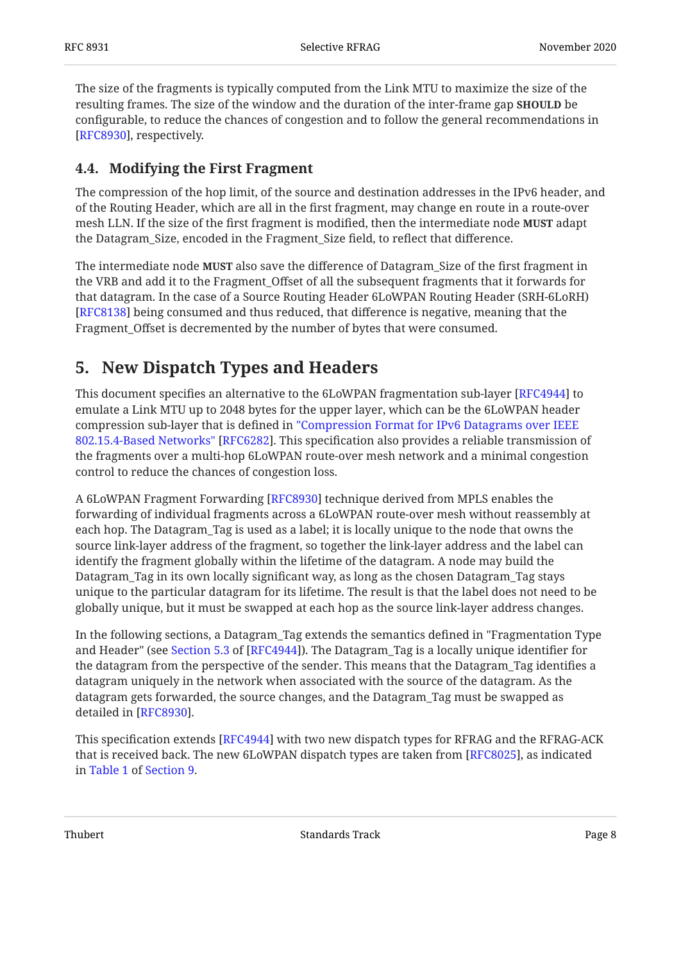The size of the fragments is typically computed from the Link MTU to maximize the size of the resulting frames. The size of the window and the duration of the inter-frame gap **SHOULD** be configurable, to reduce the chances of congestion and to follow the general recommendations in [[RFC8930\]](#page-21-4), respectively.

### <span id="page-7-0"></span>**[4.4. Modifying the First Fragment](#page-7-0)**

The compression of the hop limit, of the source and destination addresses in the IPv6 header, and of the Routing Header, which are all in the first fragment, may change en route in a route-over mesh LLN. If the size of the first fragment is modified, then the intermediate node **MUST** adapt the Datagram\_Size, encoded in the Fragment\_Size field, to reflect that difference.

The intermediate node **MUST** also save the difference of Datagram\_Size of the first fragment in the VRB and add it to the Fragment\_Offset of all the subsequent fragments that it forwards for that datagram. In the case of a Source Routing Header 6LoWPAN Routing Header (SRH-6LoRH) [[RFC8138\]](#page-21-9) being consumed and thus reduced, that difference is negative, meaning that the Fragment\_Offset is decremented by the number of bytes that were consumed.

## <span id="page-7-1"></span>**[5. New Dispatch Types and Headers](#page-7-1)**

This document specifies an alternative to the 6LoWPAN fragmentation sub-layer [[RFC4944\]](#page-20-2) to emulate a Link MTU up to 2048 bytes for the upper layer, which can be the 6LoWPAN header compression sub-layer that is defined in ["Compression Format for IPv6 Datagrams over IEEE](#page-20-6) [802.15.4-Based Networks"](#page-20-6) [[RFC6282\]](#page-20-6). This specification also provides a reliable transmission of the fragments over a multi-hop 6LoWPAN route-over mesh network and a minimal congestion control to reduce the chances of congestion loss.

A 6LoWPAN Fragment Forwarding [[RFC8930\]](#page-21-4) technique derived from MPLS enables the forwarding of individual fragments across a 6LoWPAN route-over mesh without reassembly at each hop. The Datagram\_Tag is used as a label; it is locally unique to the node that owns the source link-layer address of the fragment, so together the link-layer address and the label can identify the fragment globally within the lifetime of the datagram. A node may build the Datagram\_Tag in its own locally significant way, as long as the chosen Datagram\_Tag stays unique to the particular datagram for its lifetime. The result is that the label does not need to be globally unique, but it must be swapped at each hop as the source link-layer address changes.

In the following sections, a Datagram\_Tag extends the semantics defined in "Fragmentation Type and Header" (see Section 5.3 of [RFC4944]). The Datagram\_Tag is a locally unique identifier for the datagram from the perspective of the sender. This means that the Datagram\_Tag identifies a datagram uniquely in the network when associated with the source of the datagram. As the datagram gets forwarded, the source changes, and the Datagram\_Tag must be swapped as detailed in [RFC8930].

This specification extends [RFC4944] with two new dispatch types for RFRAG and the RFRAG-ACK that is received back. The new 6LoWPAN dispatch types are taken from [RFC8025], as indicated in [Table 1](#page-19-2) of [Section 9.](#page-19-1)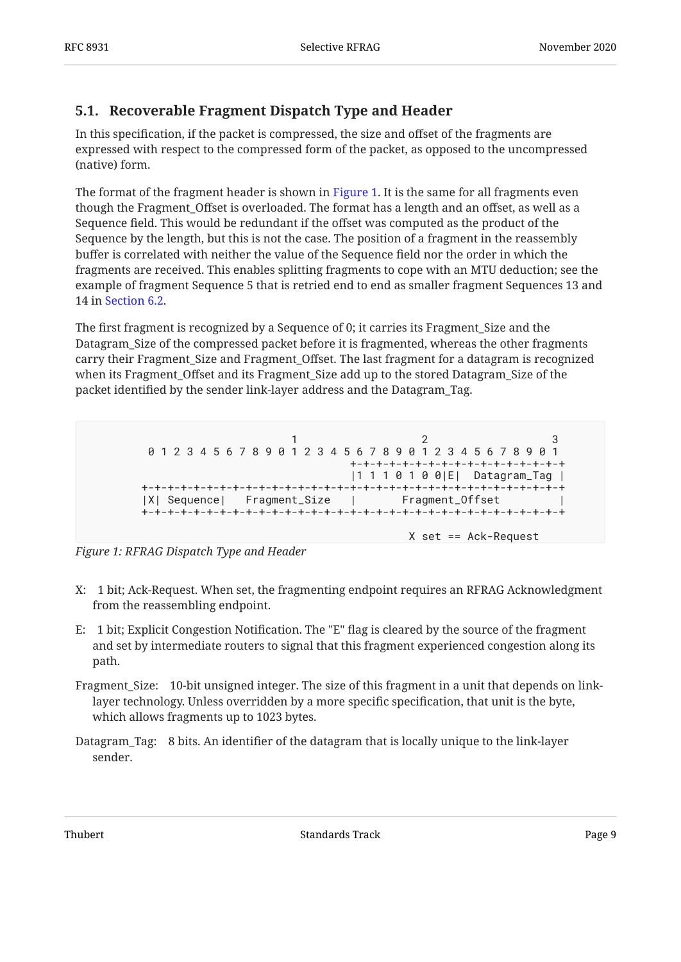### <span id="page-8-0"></span>**[5.1. Recoverable Fragment Dispatch Type and Header](#page-8-0)**

In this specification, if the packet is compressed, the size and offset of the fragments are expressed with respect to the compressed form of the packet, as opposed to the uncompressed (native) form.

The format of the fragment header is shown in [Figure 1](#page-8-1). It is the same for all fragments even though the Fragment\_Offset is overloaded. The format has a length and an offset, as well as a Sequence field. This would be redundant if the offset was computed as the product of the Sequence by the length, but this is not the case. The position of a fragment in the reassembly buffer is correlated with neither the value of the Sequence field nor the order in which the fragments are received. This enables splitting fragments to cope with an MTU deduction; see the example of fragment Sequence 5 that is retried end to end as smaller fragment Sequences 13 and 14 in [Section 6.2.](#page-14-1)

The first fragment is recognized by a Sequence of 0; it carries its Fragment\_Size and the Datagram\_Size of the compressed packet before it is fragmented, whereas the other fragments carry their Fragment\_Size and Fragment\_Offset. The last fragment for a datagram is recognized when its Fragment\_Offset and its Fragment\_Size add up to the stored Datagram\_Size of the packet identified by the sender link-layer address and the Datagram\_Tag.

<span id="page-8-1"></span> $1$  2 3 0 1 2 3 4 5 6 7 8 9 0 1 2 3 4 5 6 7 8 9 0 1 2 3 4 5 6 7 8 9 0 1 +-+-+-+-+-+-+-+-+-+-+-+-+-+-+-+-+ |1 1 1 0 1 0 0|E| Datagram\_Tag | +-+-+-+-+-+-+-+-+-+-+-+-+-+-+-+-+-+-+-+-+-+-+-+-+-+-+-+-+-+-+-+-+ |X| Sequence| Fragment\_Size | Fragment\_Offset +-+-+-+-+-+-+-+-+-+-+-+-+-+-+-+-+-+-+-+-+-+-+-+-+-+-+-+-+-+-+-+-+ X set == Ack-Request

*[Figure 1: RFRAG Dispatch Type and Header](#page-8-1)* 

- X: 1 bit; Ack-Request. When set, the fragmenting endpoint requires an RFRAG Acknowledgment from the reassembling endpoint.
- E: 1 bit; Explicit Congestion Notification. The "E" flag is cleared by the source of the fragment and set by intermediate routers to signal that this fragment experienced congestion along its path.
- Fragment\_Size: 10-bit unsigned integer. The size of this fragment in a unit that depends on linklayer technology. Unless overridden by a more specific specification, that unit is the byte, which allows fragments up to 1023 bytes.
- Datagram\_Tag: 8 bits. An identifier of the datagram that is locally unique to the link-layer sender.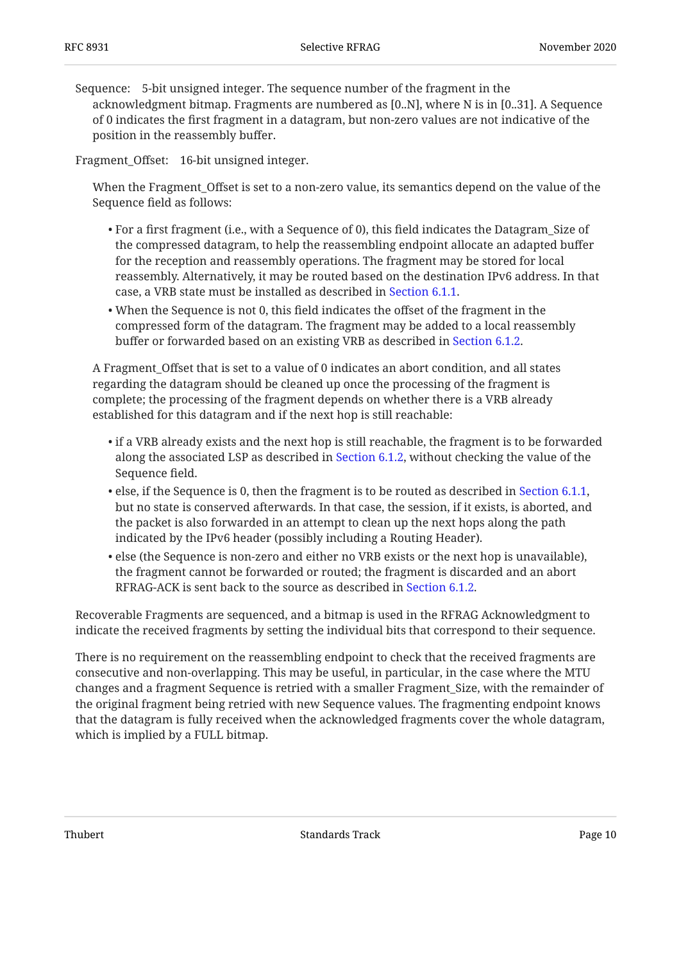Sequence: 5-bit unsigned integer. The sequence number of the fragment in the acknowledgment bitmap. Fragments are numbered as [0..N], where N is in [0..31]. A Sequence of 0 indicates the first fragment in a datagram, but non-zero values are not indicative of the position in the reassembly buffer.

Fragment\_Offset: 16-bit unsigned integer.

When the Fragment\_Offset is set to a non-zero value, its semantics depend on the value of the Sequence field as follows:

- $\bullet$  For a first fragment (i.e., with a Sequence of 0), this field indicates the Datagram\_Size of the compressed datagram, to help the reassembling endpoint allocate an adapted buffer for the reception and reassembly operations. The fragment may be stored for local reassembly. Alternatively, it may be routed based on the destination IPv6 address. In that case, a VRB state must be installed as described in [Section 6.1.1](#page-13-1).
- When the Sequence is not 0, this field indicates the offset of the fragment in the compressed form of the datagram. The fragment may be added to a local reassembly buffer or forwarded based on an existing VRB as described in [Section 6.1.2.](#page-14-0)

A Fragment Offset that is set to a value of 0 indicates an abort condition, and all states regarding the datagram should be cleaned up once the processing of the fragment is complete; the processing of the fragment depends on whether there is a VRB already established for this datagram and if the next hop is still reachable:

- $\bullet$  if a VRB already exists and the next hop is still reachable, the fragment is to be forwarded along the associated LSP as described in [Section 6.1.2,](#page-14-0) without checking the value of the Sequence field.
- $\bullet$  else, if the Sequence is 0, then the fragment is to be routed as described in [Section 6.1.1](#page-13-1), but no state is conserved afterwards. In that case, the session, if it exists, is aborted, and the packet is also forwarded in an attempt to clean up the next hops along the path indicated by the IPv6 header (possibly including a Routing Header).
- else (the Sequence is non-zero and either no VRB exists or the next hop is unavailable), the fragment cannot be forwarded or routed; the fragment is discarded and an abort RFRAG-ACK is sent back to the source as described in [Section 6.1.2](#page-14-0).

Recoverable Fragments are sequenced, and a bitmap is used in the RFRAG Acknowledgment to indicate the received fragments by setting the individual bits that correspond to their sequence.

There is no requirement on the reassembling endpoint to check that the received fragments are consecutive and non-overlapping. This may be useful, in particular, in the case where the MTU changes and a fragment Sequence is retried with a smaller Fragment\_Size, with the remainder of the original fragment being retried with new Sequence values. The fragmenting endpoint knows that the datagram is fully received when the acknowledged fragments cover the whole datagram, which is implied by a FULL bitmap.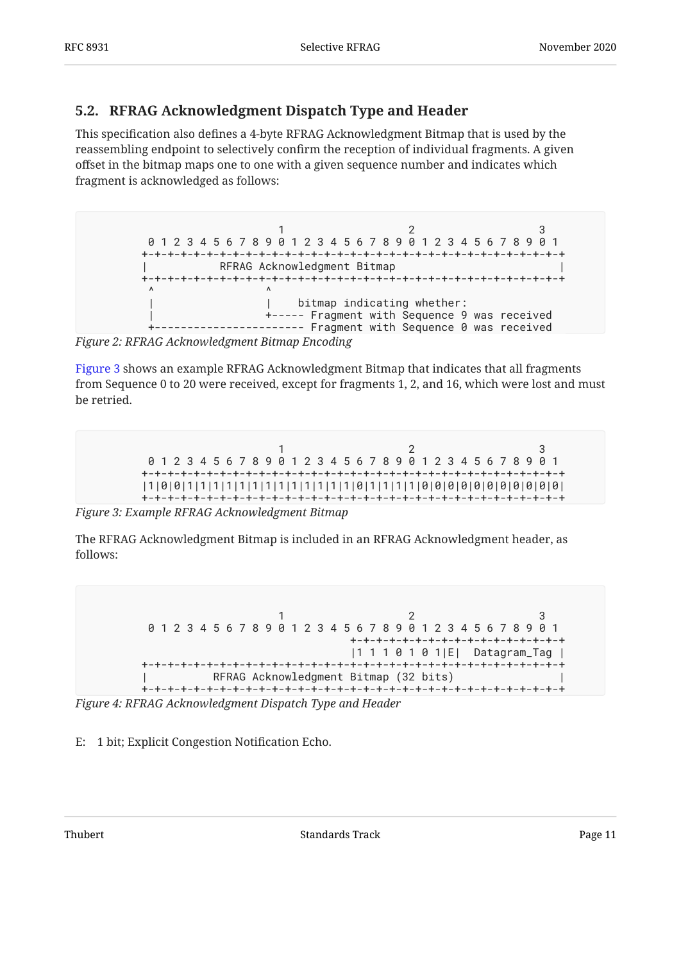### <span id="page-10-0"></span>**[5.2. RFRAG Acknowledgment Dispatch Type and Header](#page-10-0)**

This specification also defines a 4-byte RFRAG Acknowledgment Bitmap that is used by the reassembling endpoint to selectively confirm the reception of individual fragments. A given offset in the bitmap maps one to one with a given sequence number and indicates which fragment is acknowledged as follows:

<span id="page-10-1"></span> $1$  2 3 0 1 2 3 4 5 6 7 8 9 0 1 2 3 4 5 6 7 8 9 0 1 2 3 4 5 6 7 8 9 0 1 +-+-+-+-+-+-+-+-+-+-+-+-+-+-+-+-+-+-+-+-+-+-+-+-+-+-+-+-+-+-+-+-+ RFRAG Acknowledgment Bitmap +-+-+-+-+-+-+-+-+-+-+-+-+-+-+-+-+-+-+-+-+-+-+-+-+-+-+-+-+-+-+-+-+  $\wedge$   $\wedge$ | bitmap indicating whether: | +----- Fragment with Sequence 9 was received +----------------------- Fragment with Sequence 0 was received

*[Figure 2: RFRAG Acknowledgment Bitmap Encoding](#page-10-1)* 

[Figure 3](#page-10-2) shows an example RFRAG Acknowledgment Bitmap that indicates that all fragments from Sequence 0 to 20 were received, except for fragments 1, 2, and 16, which were lost and must be retried.

<span id="page-10-2"></span> $1$  2 3 0 1 2 3 4 5 6 7 8 9 0 1 2 3 4 5 6 7 8 9 0 1 2 3 4 5 6 7 8 9 0 1 +-+-+-+-+-+-+-+-+-+-+-+-+-+-+-+-+-+-+-+-+-+-+-+-+-+-+-+-+-+-+-+-+ |1|0|0|1|1|1|1|1|1|1|1|1|1|1|1|1|0|1|1|1|1|0|0|0|0|0|0|0|0|0|0|0| +-+-+-+-+-+-+-+-+-+-+-+-+-+-+-+-+-+-+-+-+-+-+-+-+-+-+-+-+-+-+-+-+

*[Figure 3: Example RFRAG Acknowledgment Bitmap](#page-10-2)* 

<span id="page-10-3"></span>The RFRAG Acknowledgment Bitmap is included in an RFRAG Acknowledgment header, as follows:

 $1$  2 3 0 1 2 3 4 5 6 7 8 9 0 1 2 3 4 5 6 7 8 9 0 1 2 3 4 5 6 7 8 9 0 1 +-+-+-+-+-+-+-+-+-+-+-+-+-+-+-+-+ |1 1 1 0 1 0 1|E| Datagram\_Tag | +-+-+-+-+-+-+-+-+-+-+-+-+-+-+-+-+-+-+-+-+-+-+-+-+-+-+-+-+-+-+-+-+ RFRAG Acknowledgment Bitmap (32 bits) +-+-+-+-+-+-+-+-+-+-+-+-+-+-+-+-+-+-+-+-+-+-+-+-+-+-+-+-+-+-+-+-+

*[Figure 4: RFRAG Acknowledgment Dispatch Type and Header](#page-10-3)* 

E: 1 bit; Explicit Congestion Notification Echo.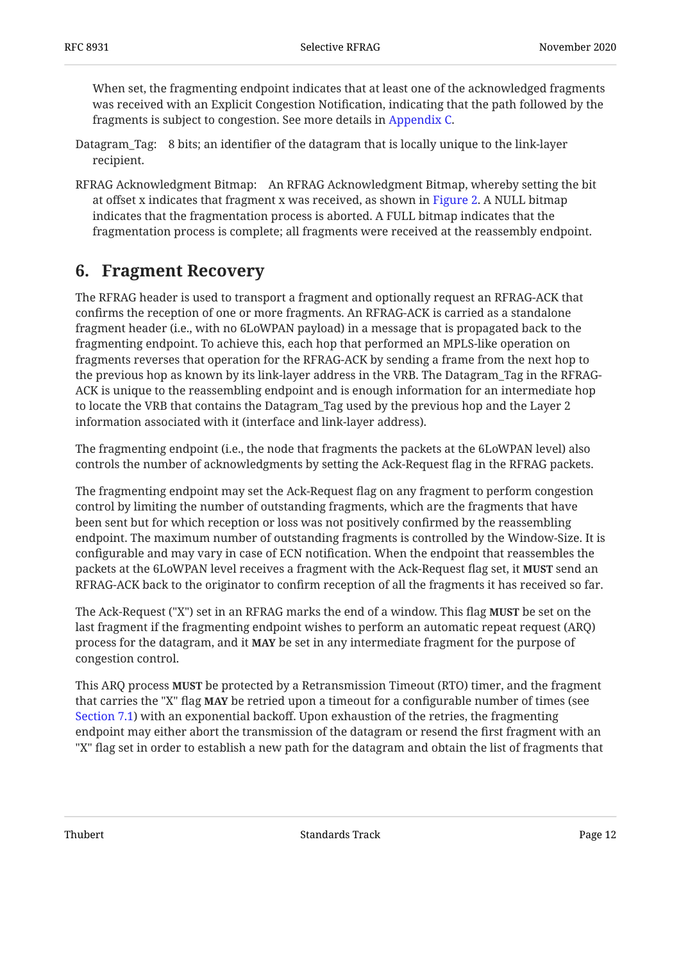When set, the fragmenting endpoint indicates that at least one of the acknowledged fragments was received with an Explicit Congestion Notification, indicating that the path followed by the fragments is subject to congestion. See more details in [Appendix C.](#page-24-1)

- Datagram\_Tag: 8 bits; an identifier of the datagram that is locally unique to the link-layer recipient.
- RFRAG Acknowledgment Bitmap: An RFRAG Acknowledgment Bitmap, whereby setting the bit at offset x indicates that fragment x was received, as shown in [Figure 2.](#page-10-1) A NULL bitmap indicates that the fragmentation process is aborted. A FULL bitmap indicates that the fragmentation process is complete; all fragments were received at the reassembly endpoint.

### <span id="page-11-0"></span>**[6. Fragment Recovery](#page-11-0)**

The RFRAG header is used to transport a fragment and optionally request an RFRAG-ACK that confirms the reception of one or more fragments. An RFRAG-ACK is carried as a standalone fragment header (i.e., with no 6LoWPAN payload) in a message that is propagated back to the fragmenting endpoint. To achieve this, each hop that performed an MPLS-like operation on fragments reverses that operation for the RFRAG-ACK by sending a frame from the next hop to the previous hop as known by its link-layer address in the VRB. The Datagram\_Tag in the RFRAG-ACK is unique to the reassembling endpoint and is enough information for an intermediate hop to locate the VRB that contains the Datagram\_Tag used by the previous hop and the Layer 2 information associated with it (interface and link-layer address).

The fragmenting endpoint (i.e., the node that fragments the packets at the 6LoWPAN level) also controls the number of acknowledgments by setting the Ack-Request flag in the RFRAG packets.

The fragmenting endpoint may set the Ack-Request flag on any fragment to perform congestion control by limiting the number of outstanding fragments, which are the fragments that have been sent but for which reception or loss was not positively confirmed by the reassembling endpoint. The maximum number of outstanding fragments is controlled by the Window-Size. It is configurable and may vary in case of ECN notification. When the endpoint that reassembles the packets at the 6LoWPAN level receives a fragment with the Ack-Request flag set, it **MUST** send an RFRAG-ACK back to the originator to confirm reception of all the fragments it has received so far.

The Ack-Request ("X") set in an RFRAG marks the end of a window. This flag **MUST** be set on the last fragment if the fragmenting endpoint wishes to perform an automatic repeat request (ARQ) process for the datagram, and it **MAY** be set in any intermediate fragment for the purpose of congestion control.

This ARQ process **MUST** be protected by a Retransmission Timeout (RTO) timer, and the fragment that carries the "X" flag **MAY** be retried upon a timeout for a configurable number of times (see [Section 7.1\)](#page-16-1) with an exponential backoff. Upon exhaustion of the retries, the fragmenting endpoint may either abort the transmission of the datagram or resend the first fragment with an "X" flag set in order to establish a new path for the datagram and obtain the list of fragments that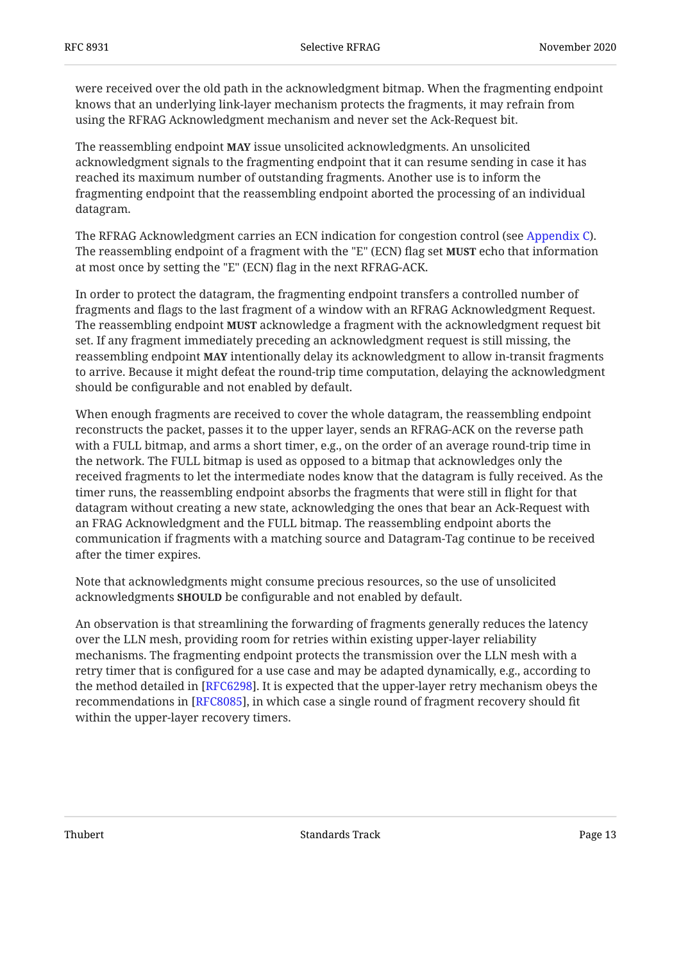were received over the old path in the acknowledgment bitmap. When the fragmenting endpoint knows that an underlying link-layer mechanism protects the fragments, it may refrain from using the RFRAG Acknowledgment mechanism and never set the Ack-Request bit.

The reassembling endpoint **MAY** issue unsolicited acknowledgments. An unsolicited acknowledgment signals to the fragmenting endpoint that it can resume sending in case it has reached its maximum number of outstanding fragments. Another use is to inform the fragmenting endpoint that the reassembling endpoint aborted the processing of an individual datagram.

The RFRAG Acknowledgment carries an ECN indication for congestion control (see [Appendix C\)](#page-24-1). The reassembling endpoint of a fragment with the "E" (ECN) flag set **MUST** echo that information at most once by setting the "E" (ECN) flag in the next RFRAG-ACK.

In order to protect the datagram, the fragmenting endpoint transfers a controlled number of fragments and flags to the last fragment of a window with an RFRAG Acknowledgment Request. The reassembling endpoint **MUST** acknowledge a fragment with the acknowledgment request bit set. If any fragment immediately preceding an acknowledgment request is still missing, the reassembling endpoint **MAY** intentionally delay its acknowledgment to allow in-transit fragments to arrive. Because it might defeat the round-trip time computation, delaying the acknowledgment should be configurable and not enabled by default.

When enough fragments are received to cover the whole datagram, the reassembling endpoint reconstructs the packet, passes it to the upper layer, sends an RFRAG-ACK on the reverse path with a FULL bitmap, and arms a short timer, e.g., on the order of an average round-trip time in the network. The FULL bitmap is used as opposed to a bitmap that acknowledges only the received fragments to let the intermediate nodes know that the datagram is fully received. As the timer runs, the reassembling endpoint absorbs the fragments that were still in flight for that datagram without creating a new state, acknowledging the ones that bear an Ack-Request with an FRAG Acknowledgment and the FULL bitmap. The reassembling endpoint aborts the communication if fragments with a matching source and Datagram-Tag continue to be received after the timer expires.

Note that acknowledgments might consume precious resources, so the use of unsolicited acknowledgments **SHOULD** be configurable and not enabled by default.

An observation is that streamlining the forwarding of fragments generally reduces the latency over the LLN mesh, providing room for retries within existing upper-layer reliability mechanisms. The fragmenting endpoint protects the transmission over the LLN mesh with a retry timer that is configured for a use case and may be adapted dynamically, e.g., according to the method detailed in [RFC6298]. It is expected that the upper-layer retry mechanism obeys the recommendations in [RFC8085], in which case a single round of fragment recovery should fit within the upper-layer recovery timers.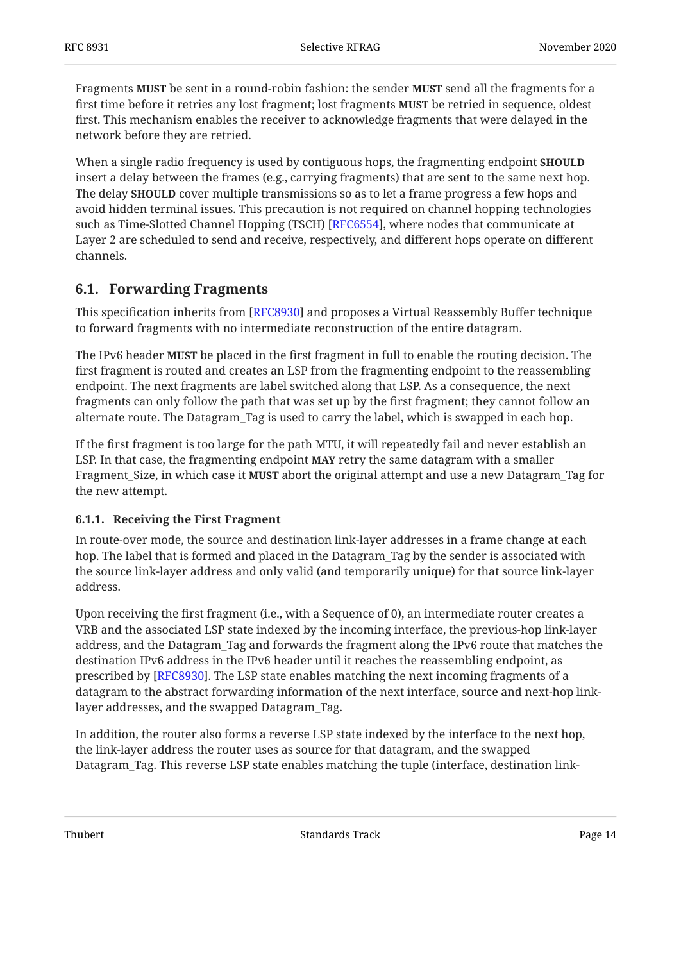Fragments **MUST** be sent in a round-robin fashion: the sender **MUST** send all the fragments for a first time before it retries any lost fragment; lost fragments **MUST** be retried in sequence, oldest first. This mechanism enables the receiver to acknowledge fragments that were delayed in the network before they are retried.

When a single radio frequency is used by contiguous hops, the fragmenting endpoint **SHOULD** insert a delay between the frames (e.g., carrying fragments) that are sent to the same next hop. The delay **SHOULD** cover multiple transmissions so as to let a frame progress a few hops and avoid hidden terminal issues. This precaution is not required on channel hopping technologies such as Time-Slotted Channel Hopping (TSCH) [RFC6554], where nodes that communicate at Layer 2 are scheduled to send and receive, respectively, and different hops operate on different channels.

### <span id="page-13-0"></span>**[6.1. Forwarding Fragments](#page-13-0)**

This specification inherits from [RFC8930] and proposes a Virtual Reassembly Buffer technique to forward fragments with no intermediate reconstruction of the entire datagram.

The IPv6 header **MUST** be placed in the first fragment in full to enable the routing decision. The first fragment is routed and creates an LSP from the fragmenting endpoint to the reassembling endpoint. The next fragments are label switched along that LSP. As a consequence, the next fragments can only follow the path that was set up by the first fragment; they cannot follow an alternate route. The Datagram\_Tag is used to carry the label, which is swapped in each hop.

If the first fragment is too large for the path MTU, it will repeatedly fail and never establish an LSP. In that case, the fragmenting endpoint **MAY** retry the same datagram with a smaller Fragment\_Size, in which case it **MUST** abort the original attempt and use a new Datagram\_Tag for the new attempt.

#### <span id="page-13-1"></span>**[6.1.1. Receiving the First Fragment](#page-13-1)**

In route-over mode, the source and destination link-layer addresses in a frame change at each hop. The label that is formed and placed in the Datagram\_Tag by the sender is associated with the source link-layer address and only valid (and temporarily unique) for that source link-layer address.

Upon receiving the first fragment (i.e., with a Sequence of 0), an intermediate router creates a VRB and the associated LSP state indexed by the incoming interface, the previous-hop link-layer address, and the Datagram\_Tag and forwards the fragment along the IPv6 route that matches the destination IPv6 address in the IPv6 header until it reaches the reassembling endpoint, as prescribed by [RFC8930]. The LSP state enables matching the next incoming fragments of a datagram to the abstract forwarding information of the next interface, source and next-hop linklayer addresses, and the swapped Datagram\_Tag.

In addition, the router also forms a reverse LSP state indexed by the interface to the next hop, the link-layer address the router uses as source for that datagram, and the swapped Datagram\_Tag. This reverse LSP state enables matching the tuple (interface, destination link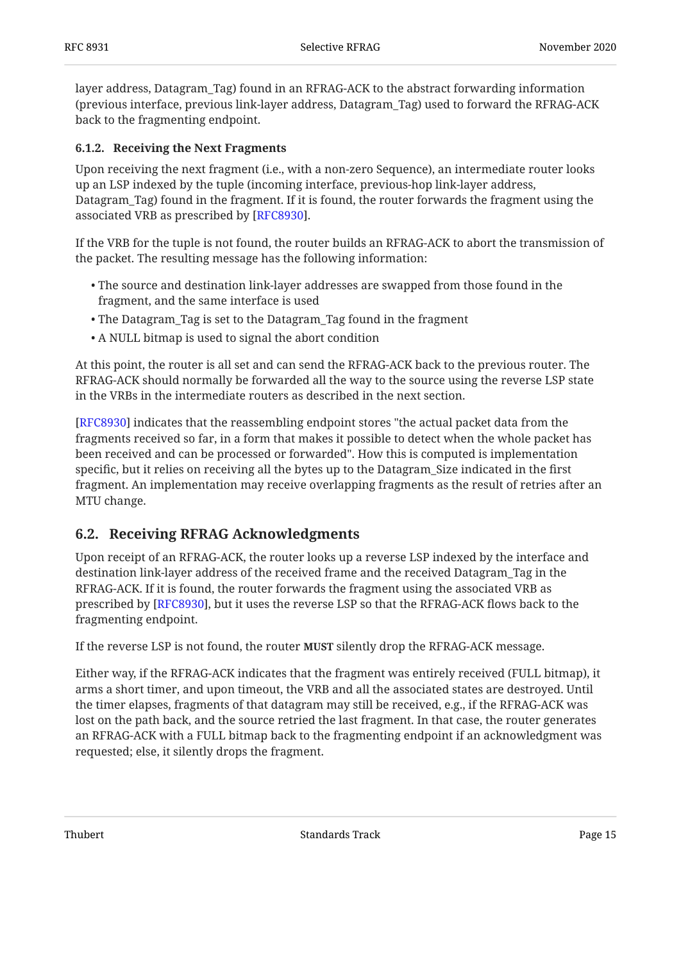layer address, Datagram\_Tag) found in an RFRAG-ACK to the abstract forwarding information (previous interface, previous link-layer address, Datagram\_Tag) used to forward the RFRAG-ACK back to the fragmenting endpoint.

#### <span id="page-14-0"></span>**[6.1.2. Receiving the Next Fragments](#page-14-0)**

Upon receiving the next fragment (i.e., with a non-zero Sequence), an intermediate router looks up an LSP indexed by the tuple (incoming interface, previous-hop link-layer address, Datagram\_Tag) found in the fragment. If it is found, the router forwards the fragment using the associated VRB as prescribed by [RFC8930].

If the VRB for the tuple is not found, the router builds an RFRAG-ACK to abort the transmission of the packet. The resulting message has the following information:

- The source and destination link-layer addresses are swapped from those found in the fragment, and the same interface is used
- The Datagram\_Tag is set to the Datagram\_Tag found in the fragment •
- A NULL bitmap is used to signal the abort condition •

At this point, the router is all set and can send the RFRAG-ACK back to the previous router. The RFRAG-ACK should normally be forwarded all the way to the source using the reverse LSP state in the VRBs in the intermediate routers as described in the next section.

[[RFC8930\]](#page-21-4) indicates that the reassembling endpoint stores "the actual packet data from the fragments received so far, in a form that makes it possible to detect when the whole packet has been received and can be processed or forwarded". How this is computed is implementation specific, but it relies on receiving all the bytes up to the Datagram\_Size indicated in the first fragment. An implementation may receive overlapping fragments as the result of retries after an MTU change.

### <span id="page-14-1"></span>**[6.2. Receiving RFRAG Acknowledgments](#page-14-1)**

Upon receipt of an RFRAG-ACK, the router looks up a reverse LSP indexed by the interface and destination link-layer address of the received frame and the received Datagram\_Tag in the RFRAG-ACK. If it is found, the router forwards the fragment using the associated VRB as prescribed by [\[RFC8930](#page-21-4)], but it uses the reverse LSP so that the RFRAG-ACK flows back to the fragmenting endpoint.

If the reverse LSP is not found, the router **MUST** silently drop the RFRAG-ACK message.

Either way, if the RFRAG-ACK indicates that the fragment was entirely received (FULL bitmap), it arms a short timer, and upon timeout, the VRB and all the associated states are destroyed. Until the timer elapses, fragments of that datagram may still be received, e.g., if the RFRAG-ACK was lost on the path back, and the source retried the last fragment. In that case, the router generates an RFRAG-ACK with a FULL bitmap back to the fragmenting endpoint if an acknowledgment was requested; else, it silently drops the fragment.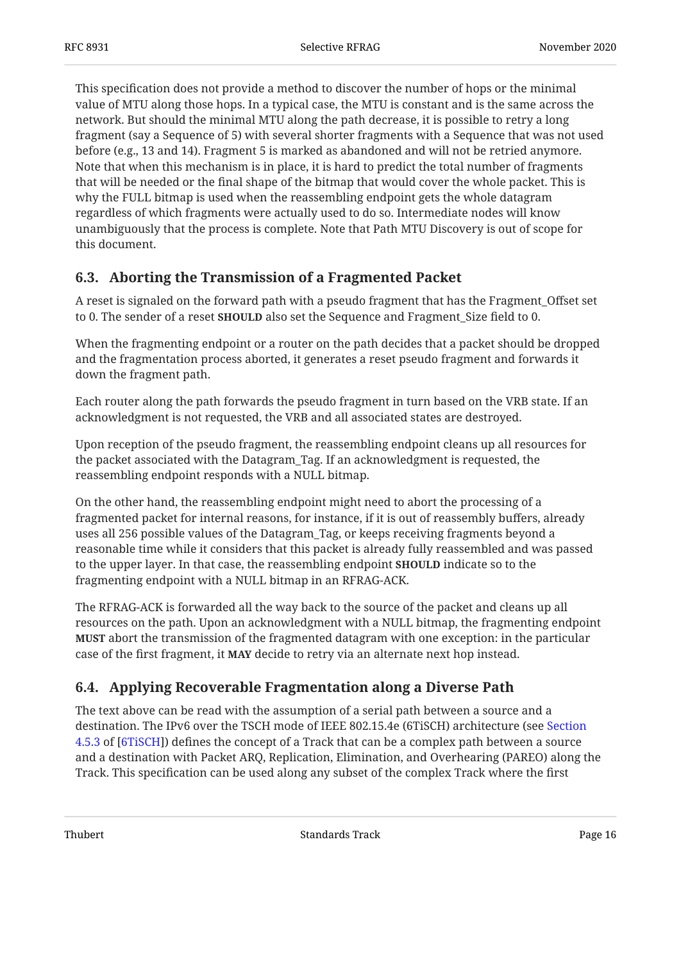This specification does not provide a method to discover the number of hops or the minimal value of MTU along those hops. In a typical case, the MTU is constant and is the same across the network. But should the minimal MTU along the path decrease, it is possible to retry a long fragment (say a Sequence of 5) with several shorter fragments with a Sequence that was not used before (e.g., 13 and 14). Fragment 5 is marked as abandoned and will not be retried anymore. Note that when this mechanism is in place, it is hard to predict the total number of fragments that will be needed or the final shape of the bitmap that would cover the whole packet. This is why the FULL bitmap is used when the reassembling endpoint gets the whole datagram regardless of which fragments were actually used to do so. Intermediate nodes will know unambiguously that the process is complete. Note that Path MTU Discovery is out of scope for this document.

### <span id="page-15-0"></span>**[6.3. Aborting the Transmission of a Fragmented Packet](#page-15-0)**

A reset is signaled on the forward path with a pseudo fragment that has the Fragment\_Offset set to 0. The sender of a reset **SHOULD** also set the Sequence and Fragment\_Size field to 0.

When the fragmenting endpoint or a router on the path decides that a packet should be dropped and the fragmentation process aborted, it generates a reset pseudo fragment and forwards it down the fragment path.

Each router along the path forwards the pseudo fragment in turn based on the VRB state. If an acknowledgment is not requested, the VRB and all associated states are destroyed.

Upon reception of the pseudo fragment, the reassembling endpoint cleans up all resources for the packet associated with the Datagram\_Tag. If an acknowledgment is requested, the reassembling endpoint responds with a NULL bitmap.

On the other hand, the reassembling endpoint might need to abort the processing of a fragmented packet for internal reasons, for instance, if it is out of reassembly buffers, already uses all 256 possible values of the Datagram\_Tag, or keeps receiving fragments beyond a reasonable time while it considers that this packet is already fully reassembled and was passed to the upper layer. In that case, the reassembling endpoint **SHOULD** indicate so to the fragmenting endpoint with a NULL bitmap in an RFRAG-ACK.

The RFRAG-ACK is forwarded all the way back to the source of the packet and cleans up all resources on the path. Upon an acknowledgment with a NULL bitmap, the fragmenting endpoint **MUST** abort the transmission of the fragmented datagram with one exception: in the particular case of the first fragment, it **MAY** decide to retry via an alternate next hop instead.

### <span id="page-15-1"></span>**[6.4. Applying Recoverable Fragmentation along a Diverse Path](#page-15-1)**

The text above can be read with the assumption of a serial path between a source and a destination. The IPv6 over the TSCH mode of IEEE 802.15.4e (6TiSCH) architecture (see [Section](https://tools.ietf.org/html/draft-ietf-6tisch-architecture-29#section-4.5.3) [4.5.3](https://tools.ietf.org/html/draft-ietf-6tisch-architecture-29#section-4.5.3) of [[6TiSCH](#page-21-3)]) defines the concept of a Track that can be a complex path between a source and a destination with Packet ARQ, Replication, Elimination, and Overhearing (PAREO) along the Track. This specification can be used along any subset of the complex Track where the first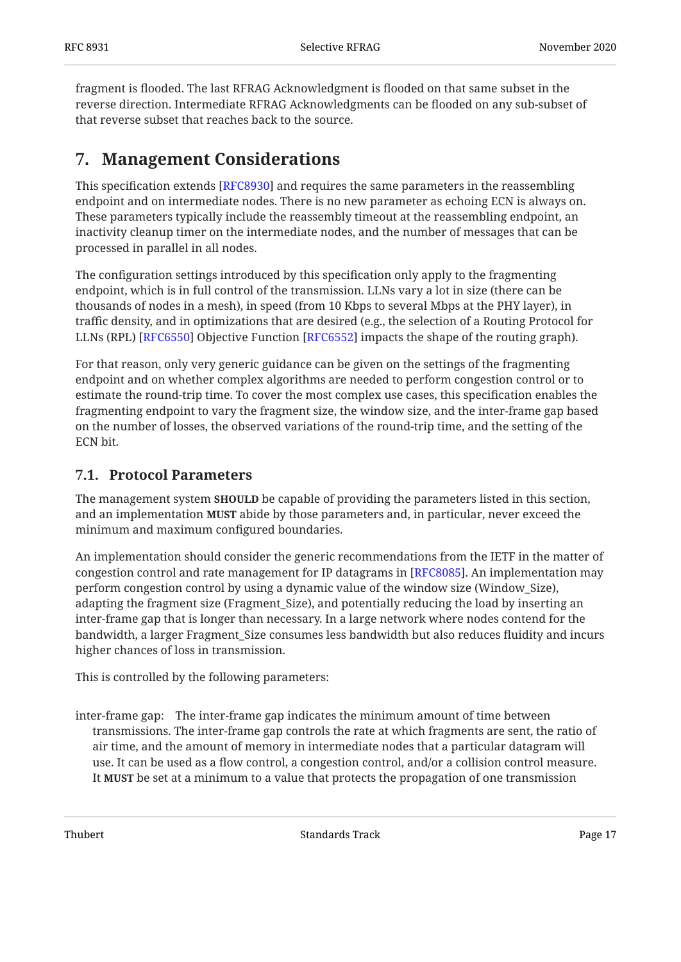fragment is flooded. The last RFRAG Acknowledgment is flooded on that same subset in the reverse direction. Intermediate RFRAG Acknowledgments can be flooded on any sub-subset of that reverse subset that reaches back to the source.

## <span id="page-16-0"></span>**[7. Management Considerations](#page-16-0)**

This specification extends [[RFC8930\]](#page-21-4) and requires the same parameters in the reassembling endpoint and on intermediate nodes. There is no new parameter as echoing ECN is always on. These parameters typically include the reassembly timeout at the reassembling endpoint, an inactivity cleanup timer on the intermediate nodes, and the number of messages that can be processed in parallel in all nodes.

The configuration settings introduced by this specification only apply to the fragmenting endpoint, which is in full control of the transmission. LLNs vary a lot in size (there can be thousands of nodes in a mesh), in speed (from 10 Kbps to several Mbps at the PHY layer), in traffic density, and in optimizations that are desired (e.g., the selection of a Routing Protocol for LLNs (RPL) [RFC6550] Objective Function [RFC6552] impacts the shape of the routing graph).

For that reason, only very generic guidance can be given on the settings of the fragmenting endpoint and on whether complex algorithms are needed to perform congestion control or to estimate the round-trip time. To cover the most complex use cases, this specification enables the fragmenting endpoint to vary the fragment size, the window size, and the inter-frame gap based on the number of losses, the observed variations of the round-trip time, and the setting of the ECN bit.

### <span id="page-16-1"></span>**[7.1. Protocol Parameters](#page-16-1)**

The management system **SHOULD** be capable of providing the parameters listed in this section, and an implementation **MUST** abide by those parameters and, in particular, never exceed the minimum and maximum configured boundaries.

An implementation should consider the generic recommendations from the IETF in the matter of congestion control and rate management for IP datagrams in [RFC8085]. An implementation may perform congestion control by using a dynamic value of the window size (Window\_Size), adapting the fragment size (Fragment\_Size), and potentially reducing the load by inserting an inter-frame gap that is longer than necessary. In a large network where nodes contend for the bandwidth, a larger Fragment\_Size consumes less bandwidth but also reduces fluidity and incurs higher chances of loss in transmission.

This is controlled by the following parameters:

inter-frame gap: The inter-frame gap indicates the minimum amount of time between transmissions. The inter-frame gap controls the rate at which fragments are sent, the ratio of air time, and the amount of memory in intermediate nodes that a particular datagram will use. It can be used as a flow control, a congestion control, and/or a collision control measure. It **MUST** be set at a minimum to a value that protects the propagation of one transmission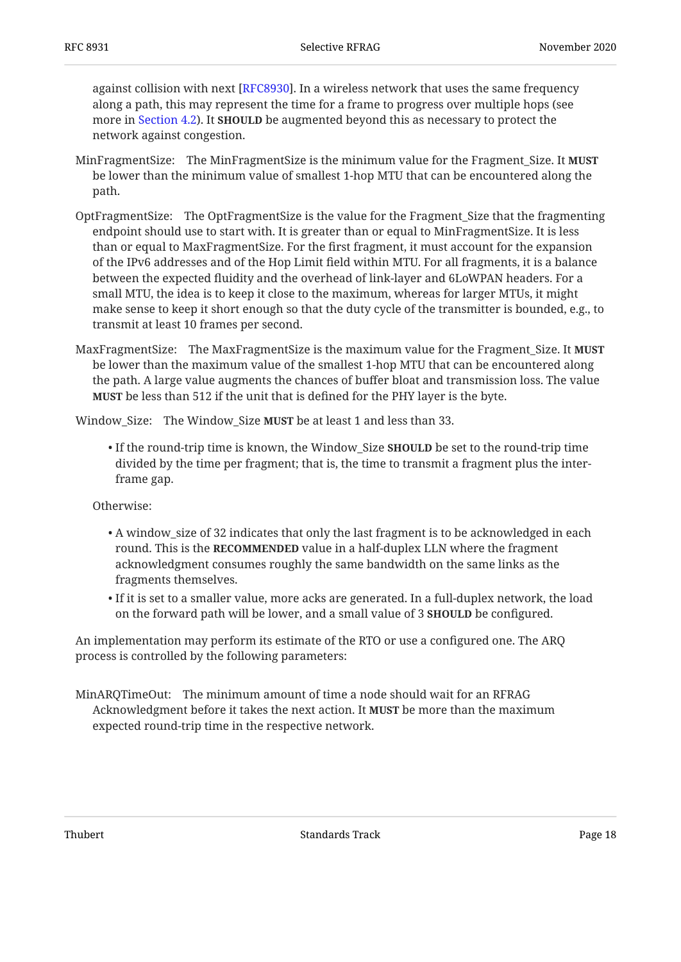against collision with next [\[RFC8930\]](#page-21-4). In a wireless network that uses the same frequency along a path, this may represent the time for a frame to progress over multiple hops (see more in [Section 4.2\)](#page-6-0). It **SHOULD** be augmented beyond this as necessary to protect the network against congestion.

- MinFragmentSize: The MinFragmentSize is the minimum value for the Fragment\_Size. It **MUST** be lower than the minimum value of smallest 1-hop MTU that can be encountered along the path.
- OptFragmentSize: The OptFragmentSize is the value for the Fragment\_Size that the fragmenting endpoint should use to start with. It is greater than or equal to MinFragmentSize. It is less than or equal to MaxFragmentSize. For the first fragment, it must account for the expansion of the IPv6 addresses and of the Hop Limit field within MTU. For all fragments, it is a balance between the expected fluidity and the overhead of link-layer and 6LoWPAN headers. For a small MTU, the idea is to keep it close to the maximum, whereas for larger MTUs, it might make sense to keep it short enough so that the duty cycle of the transmitter is bounded, e.g., to transmit at least 10 frames per second.
- MaxFragmentSize: The MaxFragmentSize is the maximum value for the Fragment\_Size. It **MUST** be lower than the maximum value of the smallest 1-hop MTU that can be encountered along the path. A large value augments the chances of buffer bloat and transmission loss. The value **MUST** be less than 512 if the unit that is defined for the PHY layer is the byte.

Window\_Size: The Window\_Size **MUST** be at least 1 and less than 33.

• If the round-trip time is known, the Window\_Size **SHOULD** be set to the round-trip time divided by the time per fragment; that is, the time to transmit a fragment plus the interframe gap.

Otherwise:

- $\bullet$  A window\_size of 32 indicates that only the last fragment is to be acknowledged in each <code>round.</code> This is the <code>RECOMMENDED</code> value in a half-duplex LLN where the fragment acknowledgment consumes roughly the same bandwidth on the same links as the fragments themselves.
- $\bullet$  If it is set to a smaller value, more acks are generated. In a full-duplex network, the load on the forward path will be lower, and a small value of 3 **SHOULD** be configured.

An implementation may perform its estimate of the RTO or use a configured one. The ARQ process is controlled by the following parameters:

MinARQTimeOut: The minimum amount of time a node should wait for an RFRAG Acknowledgment before it takes the next action. It **MUST** be more than the maximum expected round-trip time in the respective network.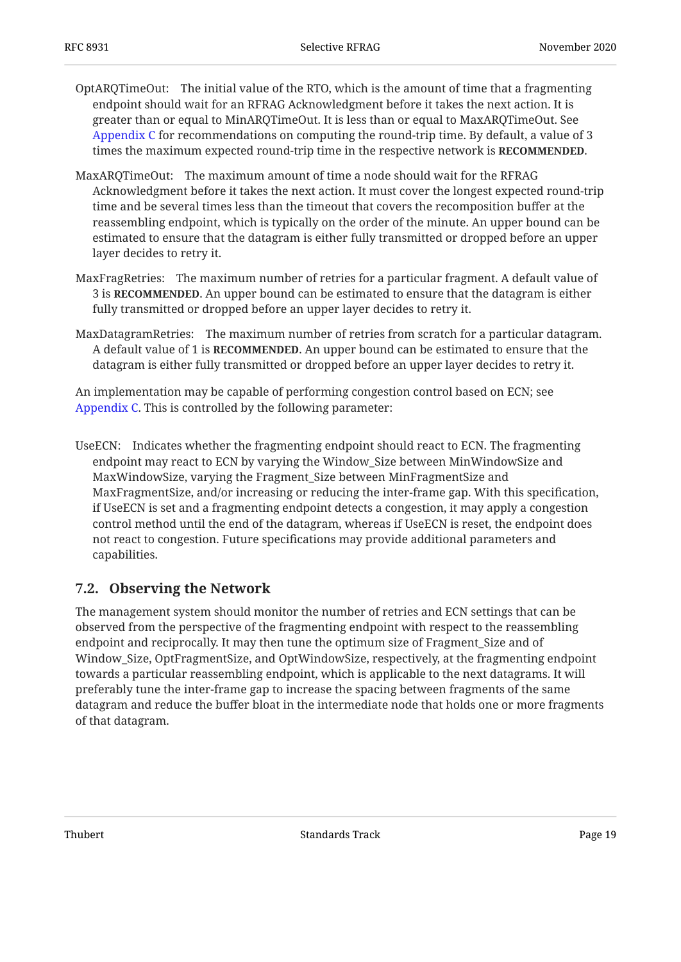- OptARQTimeOut: The initial value of the RTO, which is the amount of time that a fragmenting endpoint should wait for an RFRAG Acknowledgment before it takes the next action. It is greater than or equal to MinARQTimeOut. It is less than or equal to MaxARQTimeOut. See [Appendix C](#page-24-1) for recommendations on computing the round-trip time. By default, a value of 3 times the maximum expected round-trip time in the respective network is **RECOMMENDED**.
- MaxARQTimeOut: The maximum amount of time a node should wait for the RFRAG Acknowledgment before it takes the next action. It must cover the longest expected round-trip time and be several times less than the timeout that covers the recomposition buffer at the reassembling endpoint, which is typically on the order of the minute. An upper bound can be estimated to ensure that the datagram is either fully transmitted or dropped before an upper layer decides to retry it.
- MaxFragRetries: The maximum number of retries for a particular fragment. A default value of **3** is **RECOMMENDED**. An upper bound can be estimated to ensure that the datagram is either fully transmitted or dropped before an upper layer decides to retry it.
- MaxDatagramRetries: The maximum number of retries from scratch for a particular datagram. A default value of 1 is **RECOMMENDED**. An upper bound can be estimated to ensure that the datagram is either fully transmitted or dropped before an upper layer decides to retry it.

An implementation may be capable of performing congestion control based on ECN; see [Appendix C.](#page-24-1) This is controlled by the following parameter:

UseECN: Indicates whether the fragmenting endpoint should react to ECN. The fragmenting endpoint may react to ECN by varying the Window\_Size between MinWindowSize and MaxWindowSize, varying the Fragment\_Size between MinFragmentSize and MaxFragmentSize, and/or increasing or reducing the inter-frame gap. With this specification, if UseECN is set and a fragmenting endpoint detects a congestion, it may apply a congestion control method until the end of the datagram, whereas if UseECN is reset, the endpoint does not react to congestion. Future specifications may provide additional parameters and capabilities.

### <span id="page-18-0"></span>**[7.2. Observing the Network](#page-18-0)**

The management system should monitor the number of retries and ECN settings that can be observed from the perspective of the fragmenting endpoint with respect to the reassembling endpoint and reciprocally. It may then tune the optimum size of Fragment\_Size and of Window\_Size, OptFragmentSize, and OptWindowSize, respectively, at the fragmenting endpoint towards a particular reassembling endpoint, which is applicable to the next datagrams. It will preferably tune the inter-frame gap to increase the spacing between fragments of the same datagram and reduce the buffer bloat in the intermediate node that holds one or more fragments of that datagram.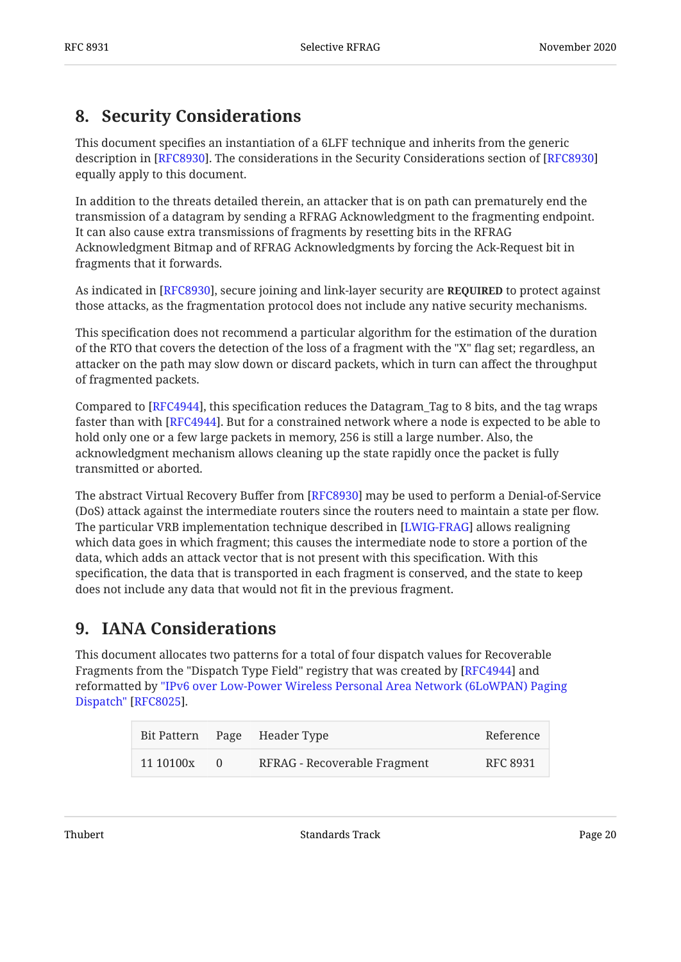## <span id="page-19-0"></span>**[8. Security Considerations](#page-19-0)**

This document specifies an instantiation of a 6LFF technique and inherits from the generic description in [\[RFC8930](#page-21-4)]. The considerations in the Security Considerations section of [RFC8930] equally apply to this document.

In addition to the threats detailed therein, an attacker that is on path can prematurely end the transmission of a datagram by sending a RFRAG Acknowledgment to the fragmenting endpoint. It can also cause extra transmissions of fragments by resetting bits in the RFRAG Acknowledgment Bitmap and of RFRAG Acknowledgments by forcing the Ack-Request bit in fragments that it forwards.

As indicated in [RFC8930], secure joining and link-layer security are **REQUIRED** to protect against those attacks, as the fragmentation protocol does not include any native security mechanisms.

This specification does not recommend a particular algorithm for the estimation of the duration of the RTO that covers the detection of the loss of a fragment with the "X" flag set; regardless, an attacker on the path may slow down or discard packets, which in turn can affect the throughput of fragmented packets.

Compared to [RFC4944], this specification reduces the Datagram\_Tag to 8 bits, and the tag wraps faster than with [RFC4944]. But for a constrained network where a node is expected to be able to hold only one or a few large packets in memory, 256 is still a large number. Also, the acknowledgment mechanism allows cleaning up the state rapidly once the packet is fully transmitted or aborted.

The abstract Virtual Recovery Buffer from [RFC8930] may be used to perform a Denial-of-Service (DoS) attack against the intermediate routers since the routers need to maintain a state per flow. The particular VRB implementation technique described in [LWIG-FRAG] allows realigning which data goes in which fragment; this causes the intermediate node to store a portion of the data, which adds an attack vector that is not present with this specification. With this specification, the data that is transported in each fragment is conserved, and the state to keep does not include any data that would not fit in the previous fragment.

## <span id="page-19-1"></span>**[9. IANA Considerations](#page-19-1)**

This document allocates two patterns for a total of four dispatch values for Recoverable Fragments from the "Dispatch Type Field" registry that was created by [\[RFC4944](#page-20-2)] and reformatted by ["IPv6 over Low-Power Wireless Personal Area Network \(6LoWPAN\) Paging](#page-20-7) . [Dispatch"](#page-20-7) [\[RFC8025](#page-20-7)]

<span id="page-19-3"></span><span id="page-19-2"></span>

|           |          | Bit Pattern Page Header Type | Reference |
|-----------|----------|------------------------------|-----------|
| 11 10100x | $\Omega$ | RFRAG - Recoverable Fragment | RFC 8931  |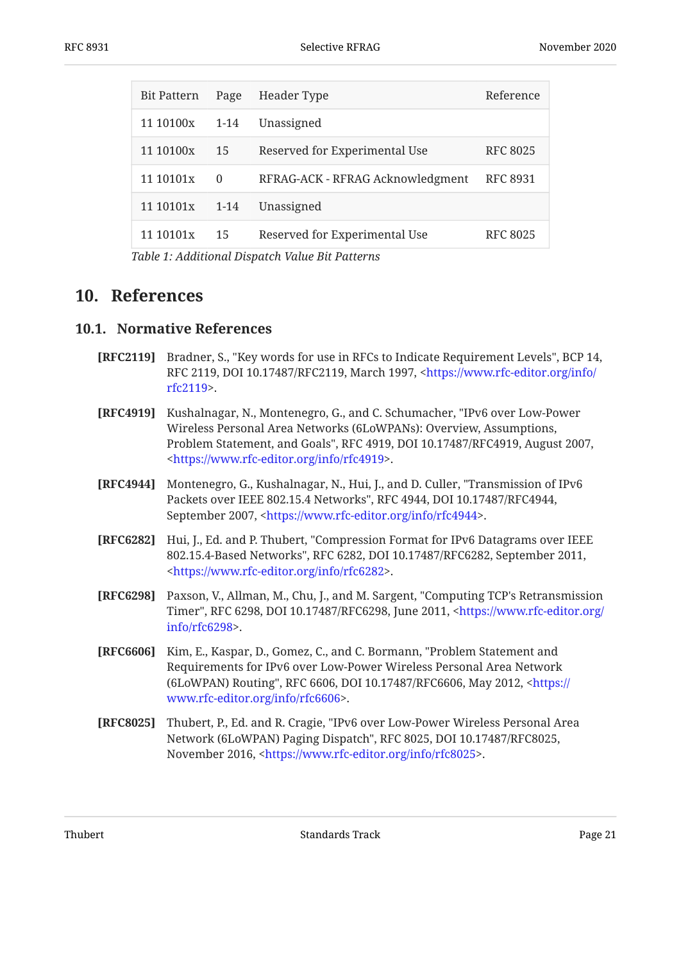| Bit Pattern    | Page     | Header Type                      | Reference       |
|----------------|----------|----------------------------------|-----------------|
| 11 10100x 1-14 |          | Unassigned                       |                 |
| 11 10100x      | 15       | Reserved for Experimental Use    | <b>RFC 8025</b> |
| 11 10101x      | $\Omega$ | RFRAG-ACK - RFRAG Acknowledgment | <b>RFC 8931</b> |
| 11 10101x      | $1 - 14$ | Unassigned                       |                 |
| 11 10101x      | 15       | Reserved for Experimental Use    | RFC 8025        |

*[Table 1](#page-19-3): [Additional Dispatch Value Bit Patterns](#page-19-2)* 

### <span id="page-20-1"></span><span id="page-20-0"></span>**[10. References](#page-20-0)**

#### **[10.1. Normative References](#page-20-1)**

- <span id="page-20-3"></span>**[RFC2119]** Bradner, S., "Key words for use in RFCs to Indicate Requirement Levels", BCP 14, RFC 2119, DOI 10.17487/RFC2119, March 1997, <[https://www.rfc-editor.org/info/](https://www.rfc-editor.org/info/rfc2119) . [rfc2119>](https://www.rfc-editor.org/info/rfc2119)
- <span id="page-20-4"></span>**[RFC4919]** Kushalnagar, N., Montenegro, G., and C. Schumacher, "IPv6 over Low-Power Problem Statement, and Goals", RFC 4919, DOI 10.17487/RFC4919, August 2007, . [<https://www.rfc-editor.org/info/rfc4919](https://www.rfc-editor.org/info/rfc4919)> Wireless Personal Area Networks (6LoWPANs): Overview, Assumptions,
- <span id="page-20-2"></span>**[RFC4944]** Montenegro, G., Kushalnagar, N., Hui, J., and D. Culler, "Transmission of IPv6 Packets over IEEE 802.15.4 Networks", RFC 4944, DOI 10.17487/RFC4944, September 2007, <https://www.rfc-editor.org/info/rfc4944>.
- <span id="page-20-6"></span>**[RFC6282]** Hui, J., Ed. and P. Thubert, "Compression Format for IPv6 Datagrams over IEEE 802.15.4-Based Networks", RFC 6282, DOI 10.17487/RFC6282, September 2011, . [<https://www.rfc-editor.org/info/rfc6282](https://www.rfc-editor.org/info/rfc6282)>
- <span id="page-20-8"></span>**[RFC6298]** Paxson, V., Allman, M., Chu, J., and M. Sargent, "Computing TCP's Retransmission Timer", RFC 6298, DOI 10.17487/RFC6298, June 2011, [<https://www.rfc-editor.org/](https://www.rfc-editor.org/info/rfc6298) . [info/rfc6298>](https://www.rfc-editor.org/info/rfc6298)
- <span id="page-20-5"></span>**[RFC6606]** Kim, E., Kaspar, D., Gomez, C., and C. Bormann, "Problem Statement and (6LoWPAN) Routing", RFC 6606, DOI 10.17487/RFC6606, May 2012, <[https://](https://www.rfc-editor.org/info/rfc6606) . [www.rfc-editor.org/info/rfc6606>](https://www.rfc-editor.org/info/rfc6606) Requirements for IPv6 over Low-Power Wireless Personal Area Network
- <span id="page-20-7"></span>**[RFC8025]** Thubert, P., Ed. and R. Cragie, "IPv6 over Low-Power Wireless Personal Area Network (6LoWPAN) Paging Dispatch", RFC 8025, DOI 10.17487/RFC8025, November 2016, <<https://www.rfc-editor.org/info/rfc8025>>.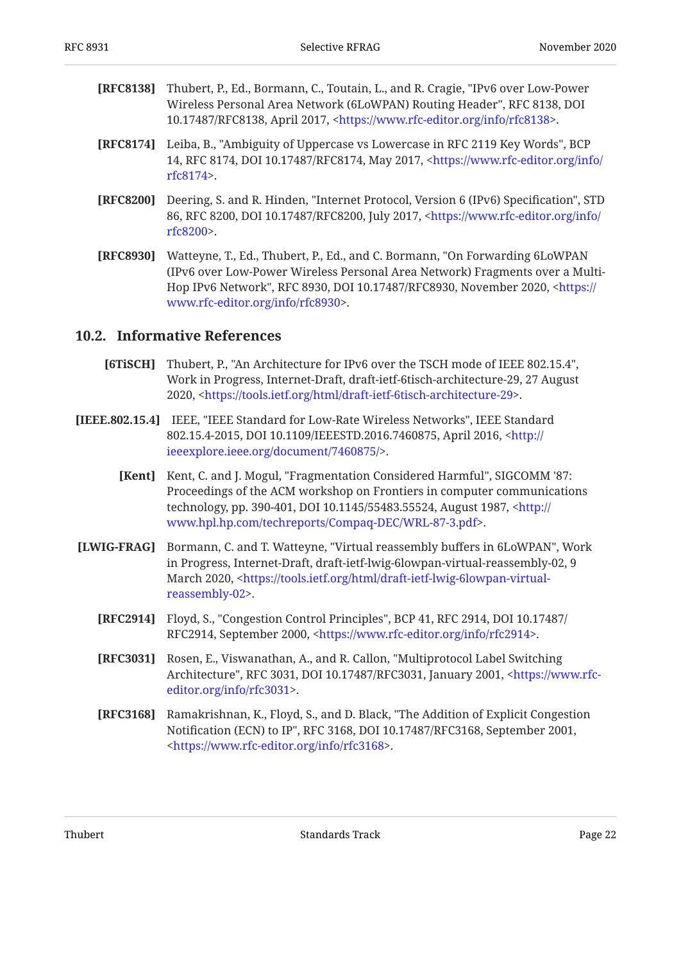- <span id="page-21-9"></span>**[RFC8138]** Thubert, P., Ed., Bormann, C., Toutain, L., and R. Cragie, "IPv6 over Low-Power Wireless Personal Area Network (6LoWPAN) Routing Header", RFC 8138, DOI 10.17487/RFC8138, April 2017, <https://www.rfc-editor.org/info/rfc8138>.
- <span id="page-21-7"></span>**[RFC8174]** Leiba, B., "Ambiguity of Uppercase vs Lowercase in RFC 2119 Key Words", BCP 14, RFC 8174, DOI 10.17487/RFC8174, May 2017, [<https://www.rfc-editor.org/info/](https://www.rfc-editor.org/info/rfc8174) . [rfc8174>](https://www.rfc-editor.org/info/rfc8174)
- <span id="page-21-2"></span>**[RFC8200]** Deering, S. and R. Hinden, "Internet Protocol, Version 6 (IPv6) Specification", STD 86, RFC 8200, DOI 10.17487/RFC8200, July 2017, <[https://www.rfc-editor.org/info/](https://www.rfc-editor.org/info/rfc8200) . [rfc8200>](https://www.rfc-editor.org/info/rfc8200)
- <span id="page-21-4"></span>**[RFC8930]** Watteyne, T., Ed., Thubert, P., Ed., and C. Bormann, "On Forwarding 6LoWPAN Hop IPv6 Network", RFC 8930, DOI 10.17487/RFC8930, November 2020, <[https://](https://www.rfc-editor.org/info/rfc8930) . [www.rfc-editor.org/info/rfc8930>](https://www.rfc-editor.org/info/rfc8930) (IPv6 over Low-Power Wireless Personal Area Network) Fragments over a Multi-

#### <span id="page-21-3"></span><span id="page-21-0"></span>**[10.2. Informative References](#page-21-0)**

- **[6TiSCH]** Thubert, P., "An Architecture for IPv6 over the TSCH mode of IEEE 802.15.4", Work in Progress, Internet-Draft, draft-ietf-6tisch-architecture-29, 27 August 2020, <https://tools.ietf.org/html/draft-ietf-6tisch-architecture-29>.
- <span id="page-21-6"></span><span id="page-21-1"></span>**[IEEE.802.15.4]** IEEE, "IEEE Standard for Low-Rate Wireless Networks", IEEE Standard 802.15.4-2015, DOI 10.1109/IEEESTD.2016.7460875, April 2016, [<http://](http://ieeexplore.ieee.org/document/7460875/) . [ieeexplore.ieee.org/document/7460875/>](http://ieeexplore.ieee.org/document/7460875/)
	- **[Kent]** Kent, C. and J. Mogul, "Fragmentation Considered Harmful", SIGCOMM '87: technology, pp. 390-401, DOI 10.1145/55483.55524, August 1987, [<http://](http://www.hpl.hp.com/techreports/Compaq-DEC/WRL-87-3.pdf) . [www.hpl.hp.com/techreports/Compaq-DEC/WRL-87-3.pdf>](http://www.hpl.hp.com/techreports/Compaq-DEC/WRL-87-3.pdf) Proceedings of the ACM workshop on Frontiers in computer communications
- <span id="page-21-11"></span><span id="page-21-10"></span><span id="page-21-8"></span><span id="page-21-5"></span>**[LWIG-FRAG]** Bormann, C. and T. Watteyne, "Virtual reassembly buffers in 6LoWPAN", Work in Progress, Internet-Draft, draft-ietf-lwig-6lowpan-virtual-reassembly-02, 9 March 2020, <[https://tools.ietf.org/html/draft-ietf-lwig-6lowpan-virtual-](https://tools.ietf.org/html/draft-ietf-lwig-6lowpan-virtual-reassembly-02). [reassembly-02>](https://tools.ietf.org/html/draft-ietf-lwig-6lowpan-virtual-reassembly-02)
	- **[RFC2914]** Floyd, S., "Congestion Control Principles", BCP 41, RFC 2914, DOI 10.17487/ RFC2914, September 2000, [<https://www.rfc-editor.org/info/rfc2914](https://www.rfc-editor.org/info/rfc2914)>.
	- **[RFC3031]** Rosen, E., Viswanathan, A., and R. Callon, "Multiprotocol Label Switching Architecture", RFC 3031, DOI 10.17487/RFC3031, January 2001, <[https://www.rfc-](https://www.rfc-editor.org/info/rfc3031). [editor.org/info/rfc3031>](https://www.rfc-editor.org/info/rfc3031)
	- **[RFC3168]** Ramakrishnan, K., Floyd, S., and D. Black, "The Addition of Explicit Congestion Notification (ECN) to IP", RFC 3168, DOI 10.17487/RFC3168, September 2001, . [<https://www.rfc-editor.org/info/rfc3168](https://www.rfc-editor.org/info/rfc3168)>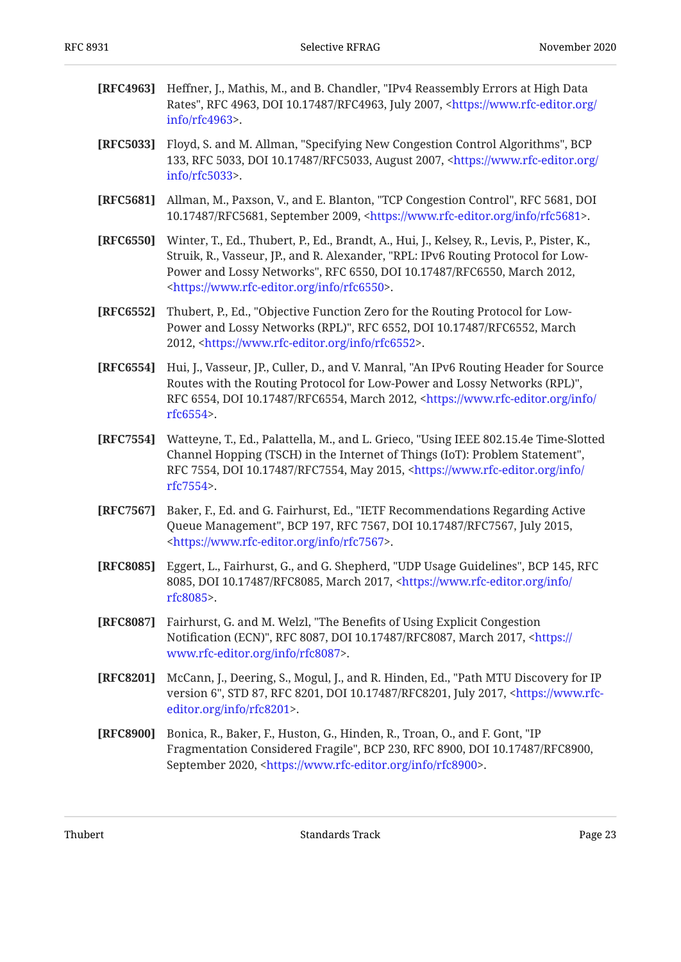<span id="page-22-11"></span><span id="page-22-9"></span><span id="page-22-8"></span><span id="page-22-7"></span><span id="page-22-6"></span><span id="page-22-5"></span><span id="page-22-1"></span>

| [RFC4963] | Heffner, J., Mathis, M., and B. Chandler, "IPv4 Reassembly Errors at High Data<br>Rates", RFC 4963, DOI 10.17487/RFC4963, July 2007, <https: <br="" www.rfc-editor.org=""><math>info/rfc4963</math>.</https:>                                                                                                           |
|-----------|-------------------------------------------------------------------------------------------------------------------------------------------------------------------------------------------------------------------------------------------------------------------------------------------------------------------------|
| [RFC5033] | Floyd, S. and M. Allman, "Specifying New Congestion Control Algorithms", BCP<br>133, RFC 5033, DOI 10.17487/RFC5033, August 2007, <https: <br="" www.rfc-editor.org=""><math>info/rfc5033</math>.</https:>                                                                                                              |
| [RFC5681] | Allman, M., Paxson, V., and E. Blanton, "TCP Congestion Control", RFC 5681, DOI<br>10.17487/RFC5681, September 2009, <https: info="" rfc5681="" www.rfc-editor.org="">.</https:>                                                                                                                                        |
| [RFC6550] | Winter, T., Ed., Thubert, P., Ed., Brandt, A., Hui, J., Kelsey, R., Levis, P., Pister, K.,<br>Struik, R., Vasseur, JP., and R. Alexander, "RPL: IPv6 Routing Protocol for Low-<br>Power and Lossy Networks", RFC 6550, DOI 10.17487/RFC6550, March 2012,<br><https: info="" rfc6550="" www.rfc-editor.org="">.</https:> |
| [RFC6552] | Thubert, P., Ed., "Objective Function Zero for the Routing Protocol for Low-<br>Power and Lossy Networks (RPL)", RFC 6552, DOI 10.17487/RFC6552, March<br>2012, <https: info="" rfc6552="" www.rfc-editor.org="">.</https:>                                                                                             |
| [RFC6554] | Hui, J., Vasseur, JP., Culler, D., and V. Manral, "An IPv6 Routing Header for Source<br>Routes with the Routing Protocol for Low-Power and Lossy Networks (RPL)",<br>RFC 6554, DOI 10.17487/RFC6554, March 2012, <https: <br="" info="" www.rfc-editor.org="">rfc6554&gt;.</https:>                                     |
| [RFC7554] | Watteyne, T., Ed., Palattella, M., and L. Grieco, "Using IEEE 802.15.4e Time-Slotted<br>Channel Hopping (TSCH) in the Internet of Things (IoT): Problem Statement",<br>RFC 7554, DOI 10.17487/RFC7554, May 2015, <https: <br="" info="" www.rfc-editor.org="">rfc7554&gt;.</https:>                                     |
| [RFC7567] | Baker, F., Ed. and G. Fairhurst, Ed., "IETF Recommendations Regarding Active<br>Queue Management", BCP 197, RFC 7567, DOI 10.17487/RFC7567, July 2015,<br><https: info="" rfc7567="" www.rfc-editor.org="">.</https:>                                                                                                   |
| [RFC8085] | Eggert, L., Fairhurst, G., and G. Shepherd, "UDP Usage Guidelines", BCP 145, RFC<br>8085, DOI 10.17487/RFC8085, March 2017, <https: <br="" info="" www.rfc-editor.org=""><math>rfc8085</math>.</https:>                                                                                                                 |
| [RFC8087] | Fairhurst, G. and M. Welzl, "The Benefits of Using Explicit Congestion<br>Notification (ECN)", RFC 8087, DOI 10.17487/RFC8087, March 2017, <https: <br="">www.rfc-editor.org/info/rfc8087&gt;.</https:>                                                                                                                 |
| [RFC8201] | McCann, J., Deering, S., Mogul, J., and R. Hinden, Ed., "Path MTU Discovery for IP<br>version 6", STD 87, RFC 8201, DOI 10.17487/RFC8201, July 2017, <https: www.rfc-<br="">editor.org/info/rfc8201&gt;.</https:>                                                                                                       |
| [RFC8900] | Bonica, R., Baker, F., Huston, G., Hinden, R., Troan, O., and F. Gont, "IP<br>Fragmentation Considered Fragile", BCP 230, RFC 8900, DOI 10.17487/RFC8900,<br>September 2020, <https: info="" rfc8900="" www.rfc-editor.org="">.</https:>                                                                                |

<span id="page-22-10"></span><span id="page-22-4"></span><span id="page-22-3"></span><span id="page-22-2"></span><span id="page-22-0"></span>Thubert **Example 23** Standards Track **Page 23**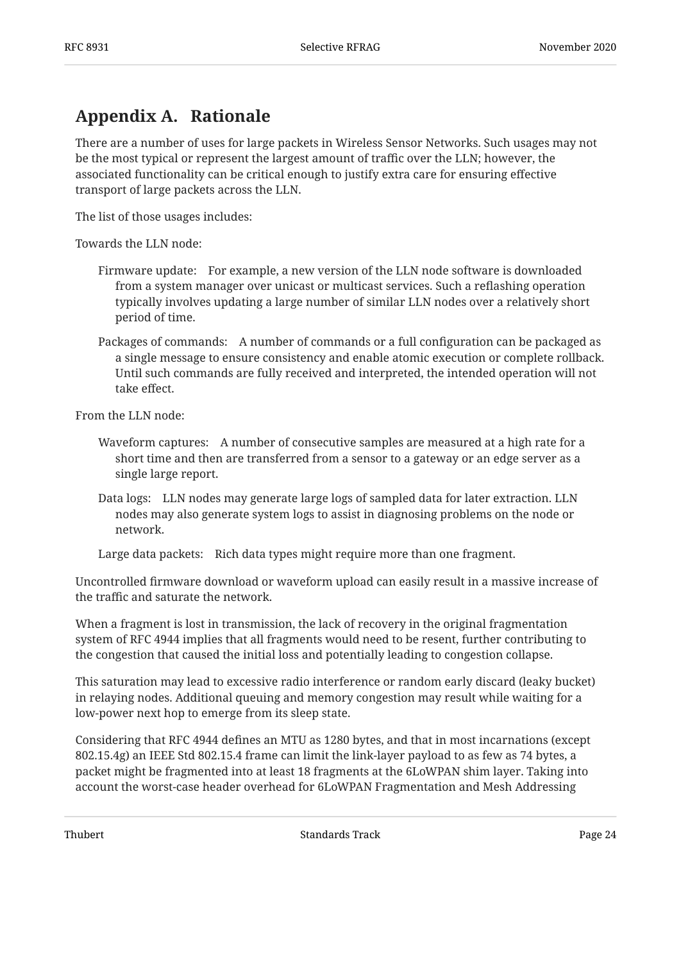## <span id="page-23-0"></span>**[Appendix A. Rationale](#page-23-0)**

There are a number of uses for large packets in Wireless Sensor Networks. Such usages may not be the most typical or represent the largest amount of traffic over the LLN; however, the associated functionality can be critical enough to justify extra care for ensuring effective transport of large packets across the LLN.

The list of those usages includes:

Towards the LLN node:

- Firmware update: For example, a new version of the LLN node software is downloaded from a system manager over unicast or multicast services. Such a reflashing operation typically involves updating a large number of similar LLN nodes over a relatively short period of time.
- Packages of commands: A number of commands or a full configuration can be packaged as a single message to ensure consistency and enable atomic execution or complete rollback. Until such commands are fully received and interpreted, the intended operation will not take effect.

From the LLN node:

- Waveform captures: A number of consecutive samples are measured at a high rate for a short time and then are transferred from a sensor to a gateway or an edge server as a single large report.
- Data logs: LLN nodes may generate large logs of sampled data for later extraction. LLN nodes may also generate system logs to assist in diagnosing problems on the node or network.

Large data packets: Rich data types might require more than one fragment.

Uncontrolled firmware download or waveform upload can easily result in a massive increase of the traffic and saturate the network.

When a fragment is lost in transmission, the lack of recovery in the original fragmentation system of RFC 4944 implies that all fragments would need to be resent, further contributing to the congestion that caused the initial loss and potentially leading to congestion collapse.

This saturation may lead to excessive radio interference or random early discard (leaky bucket) in relaying nodes. Additional queuing and memory congestion may result while waiting for a low-power next hop to emerge from its sleep state.

Considering that RFC 4944 defines an MTU as 1280 bytes, and that in most incarnations (except 802.15.4g) an IEEE Std 802.15.4 frame can limit the link-layer payload to as few as 74 bytes, a packet might be fragmented into at least 18 fragments at the 6LoWPAN shim layer. Taking into account the worst-case header overhead for 6LoWPAN Fragmentation and Mesh Addressing

Thubert **Example 24** Standards Track **Page 24** Standards Track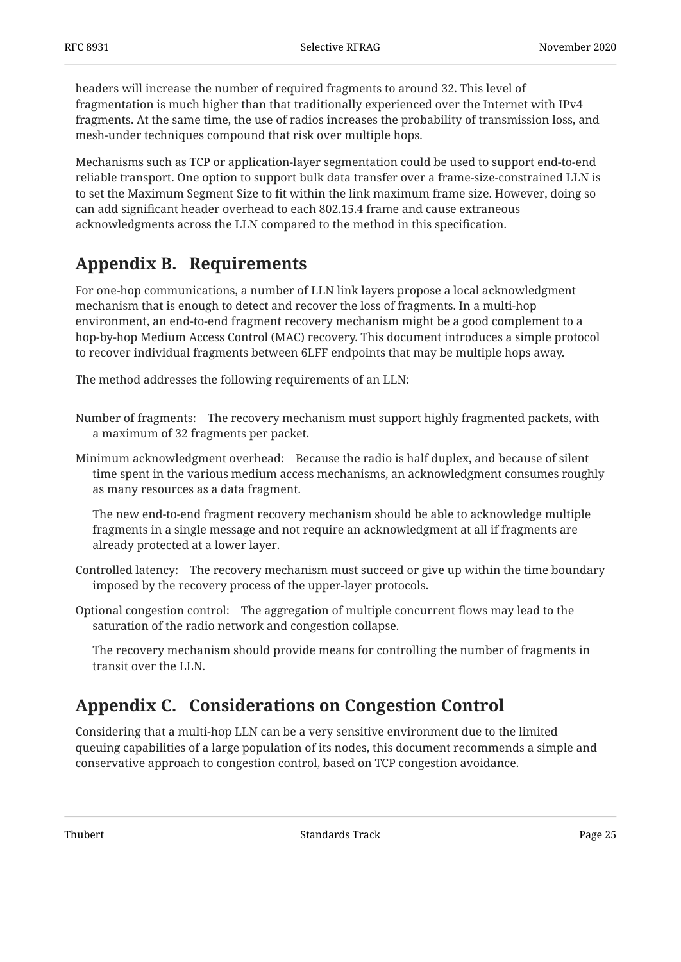headers will increase the number of required fragments to around 32. This level of fragmentation is much higher than that traditionally experienced over the Internet with IPv4 fragments. At the same time, the use of radios increases the probability of transmission loss, and mesh-under techniques compound that risk over multiple hops.

Mechanisms such as TCP or application-layer segmentation could be used to support end-to-end reliable transport. One option to support bulk data transfer over a frame-size-constrained LLN is to set the Maximum Segment Size to fit within the link maximum frame size. However, doing so can add significant header overhead to each 802.15.4 frame and cause extraneous acknowledgments across the LLN compared to the method in this specification.

## <span id="page-24-0"></span>**[Appendix B. Requirements](#page-24-0)**

For one-hop communications, a number of LLN link layers propose a local acknowledgment mechanism that is enough to detect and recover the loss of fragments. In a multi-hop environment, an end-to-end fragment recovery mechanism might be a good complement to a hop-by-hop Medium Access Control (MAC) recovery. This document introduces a simple protocol to recover individual fragments between 6LFF endpoints that may be multiple hops away.

The method addresses the following requirements of an LLN:

- Number of fragments: The recovery mechanism must support highly fragmented packets, with a maximum of 32 fragments per packet.
- Minimum acknowledgment overhead: Because the radio is half duplex, and because of silent time spent in the various medium access mechanisms, an acknowledgment consumes roughly as many resources as a data fragment.

The new end-to-end fragment recovery mechanism should be able to acknowledge multiple fragments in a single message and not require an acknowledgment at all if fragments are already protected at a lower layer.

- Controlled latency: The recovery mechanism must succeed or give up within the time boundary imposed by the recovery process of the upper-layer protocols.
- Optional congestion control: The aggregation of multiple concurrent flows may lead to the saturation of the radio network and congestion collapse.

The recovery mechanism should provide means for controlling the number of fragments in transit over the LLN.

## <span id="page-24-1"></span>**[Appendix C. Considerations on Congestion Control](#page-24-1)**

Considering that a multi-hop LLN can be a very sensitive environment due to the limited queuing capabilities of a large population of its nodes, this document recommends a simple and conservative approach to congestion control, based on TCP congestion avoidance.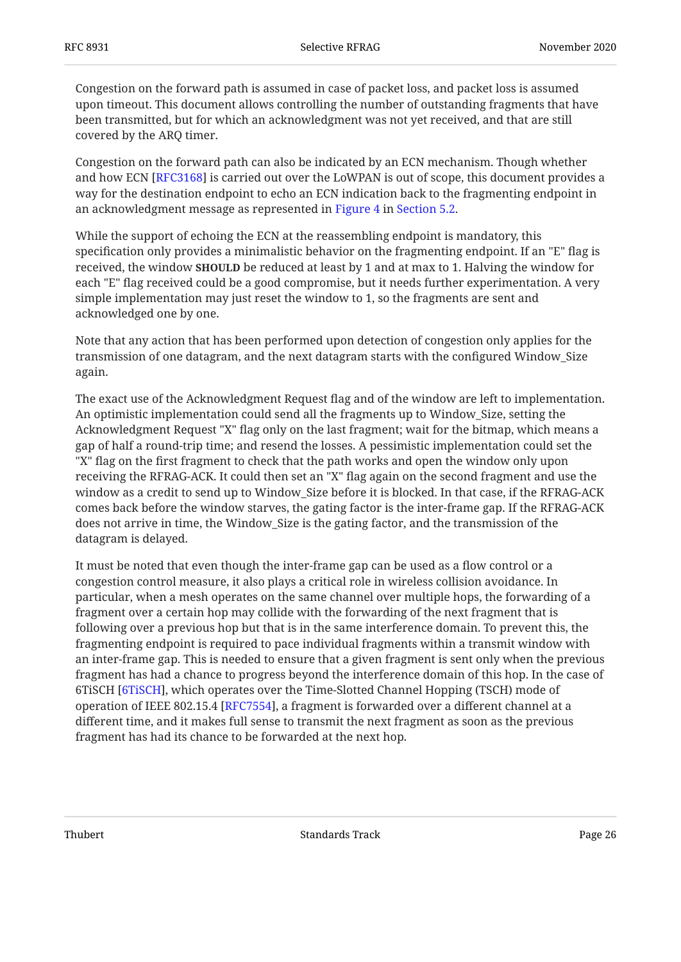Congestion on the forward path is assumed in case of packet loss, and packet loss is assumed upon timeout. This document allows controlling the number of outstanding fragments that have been transmitted, but for which an acknowledgment was not yet received, and that are still covered by the ARQ timer.

Congestion on the forward path can also be indicated by an ECN mechanism. Though whether and how ECN [\[RFC3168](#page-21-10)] is carried out over the LoWPAN is out of scope, this document provides a way for the destination endpoint to echo an ECN indication back to the fragmenting endpoint in an acknowledgment message as represented in [Figure 4](#page-10-3) in [Section 5.2.](#page-10-0)

While the support of echoing the ECN at the reassembling endpoint is mandatory, this specification only provides a minimalistic behavior on the fragmenting endpoint. If an "E" flag is received, the window **SHOULD** be reduced at least by 1 and at max to 1. Halving the window for each "E" flag received could be a good compromise, but it needs further experimentation. A very simple implementation may just reset the window to 1, so the fragments are sent and acknowledged one by one.

Note that any action that has been performed upon detection of congestion only applies for the transmission of one datagram, and the next datagram starts with the configured Window\_Size again.

The exact use of the Acknowledgment Request flag and of the window are left to implementation. An optimistic implementation could send all the fragments up to Window\_Size, setting the Acknowledgment Request "X" flag only on the last fragment; wait for the bitmap, which means a gap of half a round-trip time; and resend the losses. A pessimistic implementation could set the "X" flag on the first fragment to check that the path works and open the window only upon receiving the RFRAG-ACK. It could then set an "X" flag again on the second fragment and use the window as a credit to send up to Window\_Size before it is blocked. In that case, if the RFRAG-ACK comes back before the window starves, the gating factor is the inter-frame gap. If the RFRAG-ACK does not arrive in time, the Window\_Size is the gating factor, and the transmission of the datagram is delayed.

It must be noted that even though the inter-frame gap can be used as a flow control or a congestion control measure, it also plays a critical role in wireless collision avoidance. In particular, when a mesh operates on the same channel over multiple hops, the forwarding of a fragment over a certain hop may collide with the forwarding of the next fragment that is following over a previous hop but that is in the same interference domain. To prevent this, the fragmenting endpoint is required to pace individual fragments within a transmit window with an inter-frame gap. This is needed to ensure that a given fragment is sent only when the previous fragment has had a chance to progress beyond the interference domain of this hop. In the case of 6TiSCH [6TiSCH], which operates over the Time-Slotted Channel Hopping (TSCH) mode of operation of IEEE 802.15.4 [RFC7554], a fragment is forwarded over a different channel at a different time, and it makes full sense to transmit the next fragment as soon as the previous fragment has had its chance to be forwarded at the next hop.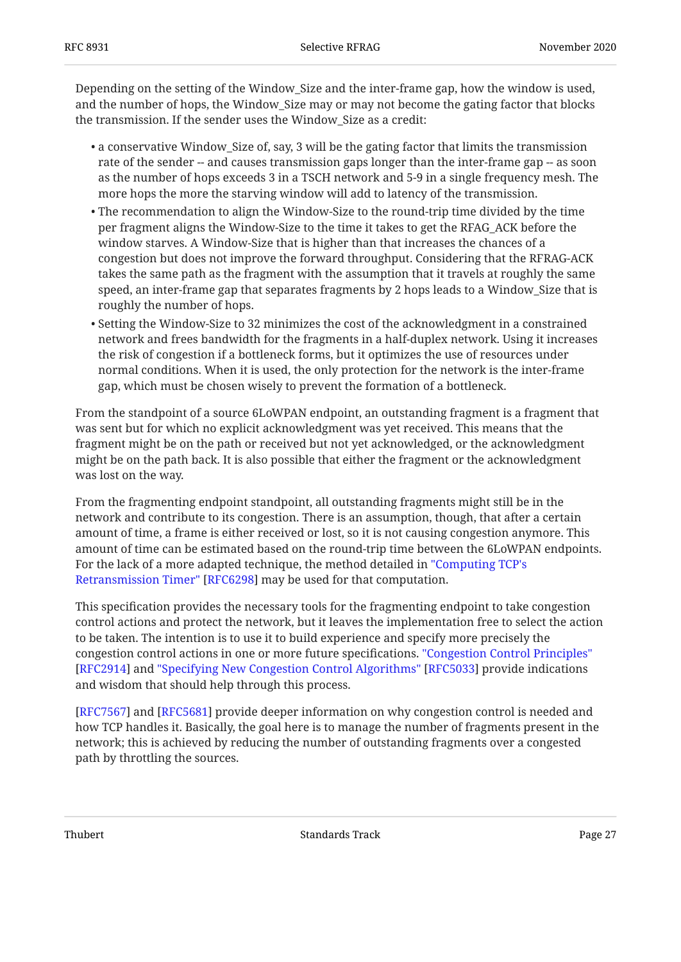Depending on the setting of the Window\_Size and the inter-frame gap, how the window is used, and the number of hops, the Window\_Size may or may not become the gating factor that blocks the transmission. If the sender uses the Window\_Size as a credit:

- a conservative Window\_Size of, say, 3 will be the gating factor that limits the transmission rate of the sender -- and causes transmission gaps longer than the inter-frame gap -- as soon as the number of hops exceeds 3 in a TSCH network and 5-9 in a single frequency mesh. The more hops the more the starving window will add to latency of the transmission.
- The recommendation to align the Window-Size to the round-trip time divided by the time per fragment aligns the Window-Size to the time it takes to get the RFAG\_ACK before the window starves. A Window-Size that is higher than that increases the chances of a congestion but does not improve the forward throughput. Considering that the RFRAG-ACK takes the same path as the fragment with the assumption that it travels at roughly the same speed, an inter-frame gap that separates fragments by 2 hops leads to a Window\_Size that is roughly the number of hops.
- $\bullet$  Setting the Window-Size to 32 minimizes the cost of the acknowledgment in a constrained network and frees bandwidth for the fragments in a half-duplex network. Using it increases the risk of congestion if a bottleneck forms, but it optimizes the use of resources under normal conditions. When it is used, the only protection for the network is the inter-frame gap, which must be chosen wisely to prevent the formation of a bottleneck.

From the standpoint of a source 6LoWPAN endpoint, an outstanding fragment is a fragment that was sent but for which no explicit acknowledgment was yet received. This means that the fragment might be on the path or received but not yet acknowledged, or the acknowledgment might be on the path back. It is also possible that either the fragment or the acknowledgment was lost on the way.

From the fragmenting endpoint standpoint, all outstanding fragments might still be in the network and contribute to its congestion. There is an assumption, though, that after a certain amount of time, a frame is either received or lost, so it is not causing congestion anymore. This amount of time can be estimated based on the round-trip time between the 6LoWPAN endpoints. For the lack of a more adapted technique, the method detailed in ["Computing TCP's](#page-20-8) [Retransmission Timer"](#page-20-8) [\[RFC6298](#page-20-8)] may be used for that computation.

This specification provides the necessary tools for the fragmenting endpoint to take congestion control actions and protect the network, but it leaves the implementation free to select the action to be taken. The intention is to use it to build experience and specify more precisely the congestion control actions in one or more future specifications. ["Congestion Control Principles"](#page-21-11) [RFC2914]and "Specifying New Congestion Control Algorithms" [RFC5033] provide indications and wisdom that should help through this process.

[[RFC7567\]](#page-22-10) and [RFC5681] provide deeper information on why congestion control is needed and how TCP handles it. Basically, the goal here is to manage the number of fragments present in the network; this is achieved by reducing the number of outstanding fragments over a congested path by throttling the sources.

Thubert **Example 27** Standards Track Page 27